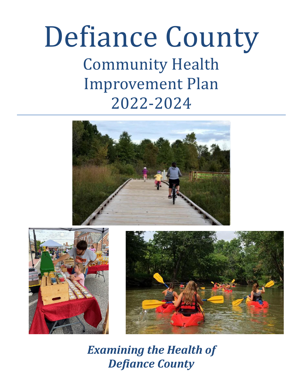# Defiance County Community Health Improvement Plan 2022-2024







*Examining the Health of Defiance County*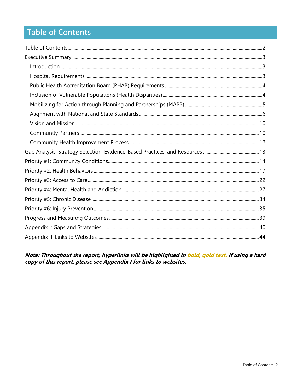# <span id="page-2-0"></span>**Table of Contents**

Note: Throughout the report, hyperlinks will be highlighted in bold, gold text. If using a hard<br>copy of this report, please see Appendix I for links to websites.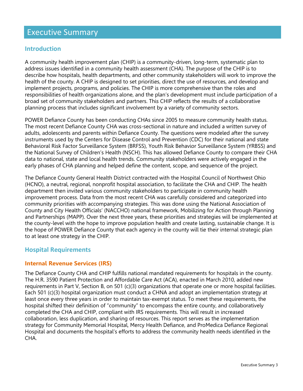# <span id="page-3-0"></span>Executive Summary

## <span id="page-3-1"></span>**Introduction**

A community health improvement plan (CHIP) is a community-driven, long-term, systematic plan to address issues identified in a community health assessment (CHA). The purpose of the CHIP is to describe how hospitals, health departments, and other community stakeholders will work to improve the health of the county. A CHIP is designed to set priorities, direct the use of resources, and develop and implement projects, programs, and policies. The CHIP is more comprehensive than the roles and responsibilities of health organizations alone, and the plan's development must include participation of a broad set of community stakeholders and partners. This CHIP reflects the results of a collaborative planning process that includes significant involvement by a variety of community sectors.

POWER Defiance County has been conducting CHAs since 2005 to measure community health status. The most recent Defiance County CHA was cross-sectional in nature and included a written survey of adults, adolescents and parents within Defiance County. The questions were modeled after the survey instruments used by the Centers for Disease Control and Prevention (CDC) for their national and state Behavioral Risk Factor Surveillance System (BRFSS), Youth Risk Behavior Surveillance System (YRBSS) and the National Survey of Children's Health (NSCH). This has allowed Defiance County to compare their CHA data to national, state and local health trends. Community stakeholders were actively engaged in the early phases of CHA planning and helped define the content, scope, and sequence of the project.

The Defiance County General Health District contracted with the Hospital Council of Northwest Ohio (HCNO), a neutral, regional, nonprofit hospital association, to facilitate the CHA and CHIP. The health department then invited various community stakeholders to participate in community health improvement process. Data from the most recent CHA was carefully considered and categorized into community priorities with accompanying strategies. This was done using the National Association of County and City Health Officials' (NACCHO) national framework, Mobilizing for Action through Planning and Partnerships (MAPP). Over the next three years, these priorities and strategies will be implemented at the county-level with the hope to improve population health and create lasting, sustainable change. It is the hope of POWER Defiance County that each agency in the county will tie their internal strategic plan to at least one strategy in the CHIP.

## **Hospital Requirements**

#### **Internal Revenue Services (IRS)**

The Defiance County CHA and CHIP fulfills national mandated requirements for hospitals in the county. The H.R. 3590 Patient Protection and Affordable Care Act (ACA), enacted in March 2010, added new requirements in Part V, Section B, on 501 (c)(3) organizations that operate one or more hospital facilities. Each 501 (c)(3) hospital organization must conduct a CHNA and adopt an implementation strategy at least once every three years in order to maintain tax-exempt status. To meet these requirements, the hospital shifted their definition of "community" to encompass the entire county, and collaboratively completed the CHA and CHIP, compliant with IRS requirements. This will result in increased collaboration, less duplication, and sharing of resources. This report serves as the implementation strategy for Community Memorial Hospital, Mercy Health Defiance, and ProMedica Defiance Regional Hospital and documents the hospital's efforts to address the community health needs identified in the CHA.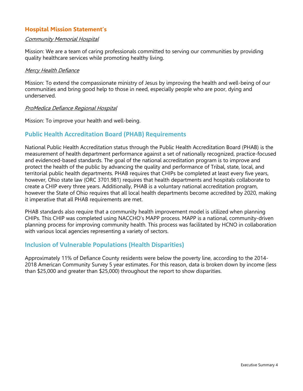#### **Hospital Mission Statement's**

#### Community Memorial Hospital

Mission: We are a team of caring professionals committed to serving our communities by providing quality healthcare services while promoting healthy living.

#### **Mercy Health Defiance**

Mission: To extend the compassionate ministry of Jesus by improving the health and well-being of our communities and bring good help to those in need, especially people who are poor, dying and underserved.

#### ProMedica Defiance Regional Hospital

Mission: To improve your health and well-being.

## <span id="page-4-0"></span>**Public Health Accreditation Board (PHAB) Requirements**

National Public Health Accreditation status through the Public Health Accreditation Board (PHAB) is the measurement of health department performance against a set of nationally recognized, practice-focused and evidenced-based standards. The goal of the national accreditation program is to improve and protect the health of the public by advancing the quality and performance of Tribal, state, local, and territorial public health departments. PHAB requires that CHIPs be completed at least every five years, however, Ohio state law (ORC 3701.981) requires that health departments and hospitals collaborate to create a CHIP every three years. Additionally, PHAB is a voluntary national accreditation program, however the State of Ohio requires that all local health departments become accredited by 2020, making it imperative that all PHAB requirements are met.

PHAB standards also require that a community health improvement model is utilized when planning CHIPs. This CHIP was completed using NACCHO's MAPP process. MAPP is a national, community-driven planning process for improving community health. This process was facilitated by HCNO in collaboration with various local agencies representing a variety of sectors.

#### <span id="page-4-1"></span>**Inclusion of Vulnerable Populations (Health Disparities)**

<span id="page-4-2"></span>Approximately 11% of Defiance County residents were below the poverty line, according to the 2014- 2018 American Community Survey 5 year estimates. For this reason, data is broken down by income (less than \$25,000 and greater than \$25,000) throughout the report to show disparities.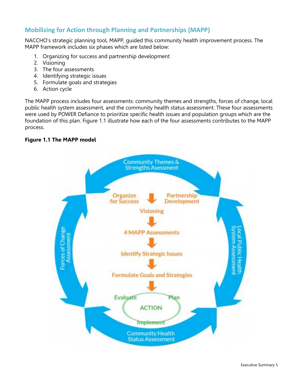## **Mobilizing for Action through Planning and Partnerships (MAPP)**

NACCHO's strategic planning tool, MAPP, guided this community health improvement process. The MAPP framework includes six phases which are listed below:

- 1. Organizing for success and partnership development
- 2. Visioning
- 3. The four assessments
- 4. Identifying strategic issues
- 5. Formulate goals and strategies
- 6. Action cycle

The MAPP process includes four assessments: community themes and strengths, forces of change, local public health system assessment, and the community health status assessment. These four assessments were used by POWER Defiance to prioritize specific health issues and population groups which are the foundation of this plan. Figure 1.1 illustrate how each of the four assessments contributes to the MAPP process.

#### **Figure 1.1 The MAPP model**

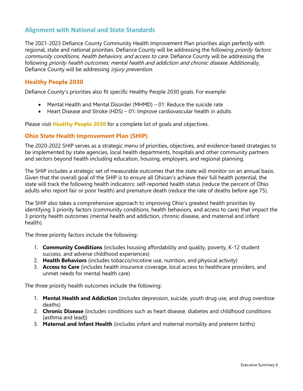## <span id="page-6-0"></span>**Alignment with National and State Standards**

The 2021-2023 Defiance County Community Health Improvement Plan priorities align perfectly with regional, state and national priorities. Defiance County will be addressing the following *priority factors:* community conditions, health behaviors, and access to care. Defiance County will be addressing the following *priority health outcomes: mental health and addiction and chronic disease.* Additionally, Defiance County will be addressing *injury prevention*.

#### **Healthy People 2030**

Defiance County's priorities also fit specific Healthy People 2030 goals. For example:

- Mental Health and Mental Disorder (MHMD) 01: Reduce the suicide rate
- Heart Disease and Stroke (HDS) 01: Improve cardiovascular health in adults

Please visit **[Healthy People 2030](https://health.gov/healthypeople/objectives-and-data)** for a complete list of goals and objectives.

#### **Ohio State Health Improvement Plan (SHIP)**

The 2020-2022 SHIP serves as a strategic menu of priorities, objectives, and evidence-based strategies to be implemented by state agencies, local health departments, hospitals and other community partners and sectors beyond health including education, housing, employers, and regional planning.

The SHIP includes a strategic set of measurable outcomes that the state will monitor on an annual basis. Given that the overall goal of the SHIP is to ensure all Ohioan's achieve their full health potential, the state will track the following health indicators: self-reported health status (reduce the percent of Ohio adults who report fair or poor health) and premature death (reduce the rate of deaths before age 75).

The SHIP also takes a comprehensive approach to improving Ohio's greatest health priorities by identifying 3 priority factors (community conditions, health behaviors, and access to care) that impact the 3 priority health outcomes (mental health and addiction, chronic disease, and maternal and infant health).

The three priority factors include the following:

- 1. **Community Conditions** (includes housing affordability and quality, poverty, K-12 student success, and adverse childhood experiences)
- 2. **Health Behaviors** (includes tobacco/nicotine use, nutrition, and physical activity)
- 3. **Access to Care** (includes health insurance coverage, local access to healthcare providers, and unmet needs for mental health care)

The three priority health outcomes include the following:

- 1. **Mental Health and Addiction** (includes depression, suicide, youth drug use, and drug overdose deaths)
- 2. **Chronic Disease** (includes conditions such as heart disease, diabetes and childhood conditions [asthma and lead])
- 3. **Maternal and Infant Health** (includes infant and maternal mortality and preterm births)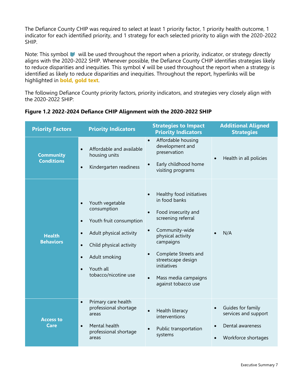The Defiance County CHIP was required to select at least 1 priority factor, 1 priority health outcome, 1 indicator for each identified priority, and 1 strategy for each selected priority to align with the 2020-2022 SHIP.

Note: This symbol will be used throughout the report when a priority, indicator, or strategy directly aligns with the 2020-2022 SHIP. Whenever possible, the Defiance County CHIP identifies strategies likely to reduce disparities and inequities. This symbol **√** will be used throughout the report when a strategy is identified as likely to reduce disparities and inequities. Throughout the report, hyperlinks will be highlighted in **bold, gold text**.

The following Defiance County priority factors, priority indicators, and strategies very closely align with the 2020-2022 SHIP:

| <b>Priority Factors</b>               | <b>Priority Indicators</b>                                                                                                                                                                                                                          | <b>Strategies to Impact</b><br><b>Priority Indicators</b>                                                                                                                                                                                                                                     | <b>Additional Aligned</b><br><b>Strategies</b>                                                    |
|---------------------------------------|-----------------------------------------------------------------------------------------------------------------------------------------------------------------------------------------------------------------------------------------------------|-----------------------------------------------------------------------------------------------------------------------------------------------------------------------------------------------------------------------------------------------------------------------------------------------|---------------------------------------------------------------------------------------------------|
| <b>Community</b><br><b>Conditions</b> | Affordable and available<br>$\bullet$<br>housing units<br>Kindergarten readiness<br>$\bullet$                                                                                                                                                       | Affordable housing<br>$\bullet$<br>development and<br>preservation<br>Early childhood home<br>$\bullet$<br>visiting programs                                                                                                                                                                  | Health in all policies                                                                            |
| <b>Health</b><br><b>Behaviors</b>     | Youth vegetable<br>$\bullet$<br>consumption<br>Youth fruit consumption<br>$\bullet$<br>Adult physical activity<br>$\bullet$<br>Child physical activity<br>$\bullet$<br>Adult smoking<br>$\bullet$<br>Youth all<br>$\bullet$<br>tobacco/nicotine use | Healthy food initiatives<br>in food banks<br>Food insecurity and<br>$\bullet$<br>screening referral<br>Community-wide<br>physical activity<br>campaigns<br>Complete Streets and<br>$\bullet$<br>streetscape design<br>initiatives<br>Mass media campaigns<br>$\bullet$<br>against tobacco use | N/A                                                                                               |
| <b>Access to</b><br>Care              | Primary care health<br>$\bullet$<br>professional shortage<br>areas<br>Mental health<br>$\bullet$<br>professional shortage<br>areas                                                                                                                  | Health literacy<br>interventions<br>Public transportation<br>$\bullet$<br>systems                                                                                                                                                                                                             | Guides for family<br>services and support<br>Dental awareness<br>$\bullet$<br>Workforce shortages |

|  |  |  | Figure 1.2 2022-2024 Defiance CHIP Alignment with the 2020-2022 SHIP |  |  |  |
|--|--|--|----------------------------------------------------------------------|--|--|--|
|  |  |  |                                                                      |  |  |  |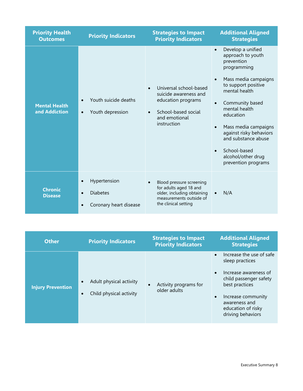| <b>Priority Health</b><br><b>Outcomes</b> | <b>Priority Indicators</b>                                                          | <b>Strategies to Impact</b><br><b>Priority Indicators</b>                                                                                 | <b>Additional Aligned</b><br><b>Strategies</b>                                                                                                                                                                                                                                                                                                                                               |
|-------------------------------------------|-------------------------------------------------------------------------------------|-------------------------------------------------------------------------------------------------------------------------------------------|----------------------------------------------------------------------------------------------------------------------------------------------------------------------------------------------------------------------------------------------------------------------------------------------------------------------------------------------------------------------------------------------|
| <b>Mental Health</b><br>and Addiction     | Youth suicide deaths<br>Youth depression<br>$\bullet$                               | Universal school-based<br>$\bullet$<br>suicide awareness and<br>education programs<br>School-based social<br>and emotional<br>instruction | Develop a unified<br>$\bullet$<br>approach to youth<br>prevention<br>programming<br>Mass media campaigns<br>$\bullet$<br>to support positive<br>mental health<br>Community based<br>$\bullet$<br>mental health<br>education<br>Mass media campaigns<br>$\bullet$<br>against risky behaviors<br>and substance abuse<br>School-based<br>$\bullet$<br>alcohol/other drug<br>prevention programs |
| <b>Chronic</b><br><b>Disease</b>          | Hypertension<br>$\bullet$<br><b>Diabetes</b><br>$\bullet$<br>Coronary heart disease | Blood pressure screening<br>for adults aged 18 and<br>older, including obtaining<br>measurements outside of<br>the clinical setting       | N/A<br>$\bullet$                                                                                                                                                                                                                                                                                                                                                                             |

| <b>Other</b>             | <b>Priority Indicators</b>                                      | <b>Strategies to Impact</b><br><b>Priority Indicators</b> | <b>Additional Aligned</b><br><b>Strategies</b>                                                                                                                                                     |
|--------------------------|-----------------------------------------------------------------|-----------------------------------------------------------|----------------------------------------------------------------------------------------------------------------------------------------------------------------------------------------------------|
| <b>Injury Prevention</b> | Adult physical activity<br>Child physical activity<br>$\bullet$ | Activity programs for<br>older adults                     | Increase the use of safe<br>sleep practices<br>Increase awareness of<br>child passenger safety<br>best practices<br>Increase community<br>awareness and<br>education of risky<br>driving behaviors |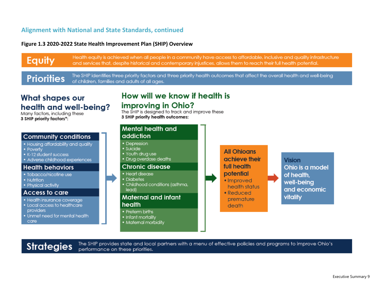### **Alignment with National and State Standards, continued**

#### **Figure 1.3 2020-2022 State Health Improvement Plan (SHIP) Overview**

Health eauity is achieved when all people in a community have access to affordable, inclusive and auality infrastructure Equity and services that, despite historical and contemporary injustices, allows them to reach their full health potential.

The SHIP identifies three priority factors and three priority health outcomes that affect the overall health and well-being **Priorities** of children, families and adults of all ages.

# What shapes our health and well-being?

Many factors, including these 3 SHIP priority factors\*:

#### **Community conditions**

- . Housing affordability and quality
- Poverty
- K-12 student success
- Adverse childhood experiences

#### **Health behaviors**

- . Tobacco/nicotine use
- · Nutrition
- Physical activity

#### Access to care

- · Health insurance coverage
- Local access to healthcare providers
- . Unmet need for mental health care

# How will we know if health is improving in Ohio?

The SHIP is designed to track and improve these 3 SHIP priority health outcomes:



The SHIP provides state and local partners with a menu of effective policies and programs to improve Ohio's **Strategies** performance on these priorities.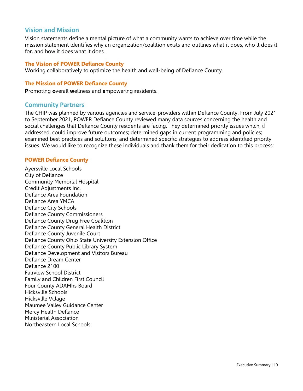#### <span id="page-10-0"></span>**Vision and Mission**

Vision statements define a mental picture of what a community wants to achieve over time while the mission statement identifies why an organization/coalition exists and outlines what it does, who it does it for, and how it does what it does.

#### **The Vision of POWER Defiance County**

Working collaboratively to optimize the health and well-being of Defiance County.

#### **The Mission of POWER Defiance County**

<span id="page-10-1"></span>**P**romoting **o**verall **w**ellness and **e**mpowering **r**esidents.

#### **Community Partners**

The CHIP was planned by various agencies and service-providers within Defiance County. From July 2021 to September 2021, POWER Defiance County reviewed many data sources concerning the health and social challenges that Defiance County residents are facing. They determined priority issues which, if addressed, could improve future outcomes; determined gaps in current programming and policies; examined best practices and solutions; and determined specific strategies to address identified priority issues. We would like to recognize these individuals and thank them for their dedication to this process:

#### **POWER Defiance County**

Ayersville Local Schools City of Defiance Community Memorial Hospital Credit Adjustments Inc. Defiance Area Foundation Defiance Area YMCA Defiance City Schools Defiance County Commissioners Defiance County Drug Free Coalition Defiance County General Health District Defiance County Juvenile Court Defiance County Ohio State University Extension Office Defiance County Public Library System Defiance Development and Visitors Bureau Defiance Dream Center Defiance 2100 Fairview School District Family and Children First Council Four County ADAMhs Board Hicksville Schools Hicksville Village Maumee Valley Guidance Center Mercy Health Defiance Ministerial Association Northeastern Local Schools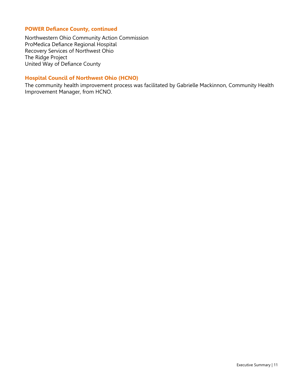#### **POWER Defiance County, continued**

Northwestern Ohio Community Action Commission ProMedica Defiance Regional Hospital Recovery Services of Northwest Ohio The Ridge Project United Way of Defiance County

#### **Hospital Council of Northwest Ohio (HCNO)**

<span id="page-11-0"></span>The community health improvement process was facilitated by Gabrielle Mackinnon, Community Health Improvement Manager, from HCNO.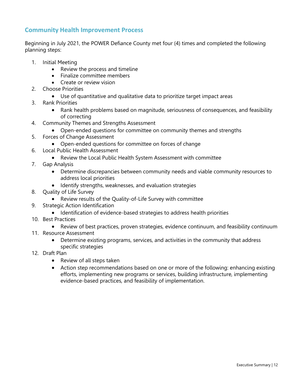## **Community Health Improvement Process**

Beginning in July 2021, the POWER Defiance County met four (4) times and completed the following planning steps:

- 1. Initial Meeting
	- Review the process and timeline
	- Finalize committee members
	- Create or review vision
- 2. Choose Priorities
	- Use of quantitative and qualitative data to prioritize target impact areas
- 3. Rank Priorities
	- Rank health problems based on magnitude, seriousness of consequences, and feasibility of correcting
- 4. Community Themes and Strengths Assessment
	- Open-ended questions for committee on community themes and strengths
- 5. Forces of Change Assessment
	- Open-ended questions for committee on forces of change
- 6. Local Public Health Assessment
	- Review the Local Public Health System Assessment with committee
- 7. Gap Analysis
	- Determine discrepancies between community needs and viable community resources to address local priorities
	- Identify strengths, weaknesses, and evaluation strategies
- 8. Quality of Life Survey
	- Review results of the Quality-of-Life Survey with committee
- 9. Strategic Action Identification
	- Identification of evidence-based strategies to address health priorities
- 10. Best Practices
	- Review of best practices, proven strategies, evidence continuum, and feasibility continuum
- 11. Resource Assessment
	- Determine existing programs, services, and activities in the community that address specific strategies
- 12. Draft Plan
	- Review of all steps taken
	- Action step recommendations based on one or more of the following: enhancing existing efforts, implementing new programs or services, building infrastructure, implementing evidence-based practices, and feasibility of implementation.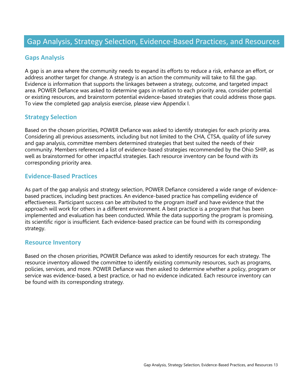## <span id="page-13-0"></span>**Gaps Analysis**

A gap is an area where the community needs to expand its efforts to reduce a risk, enhance an effort, or address another target for change. A strategy is an action the community will take to fill the gap. Evidence is information that supports the linkages between a strategy, outcome, and targeted impact area. POWER Defiance was asked to determine gaps in relation to each priority area, consider potential or existing resources, and brainstorm potential evidence-based strategies that could address those gaps. To view the completed gap analysis exercise, please view Appendix I.

## **Strategy Selection**

Based on the chosen priorities, POWER Defiance was asked to identify strategies for each priority area. Considering all previous assessments, including but not limited to the CHA, CTSA, quality of life survey and gap analysis, committee members determined strategies that best suited the needs of their community. Members referenced a list of evidence-based strategies recommended by the Ohio SHIP, as well as brainstormed for other impactful strategies. Each resource inventory can be found with its corresponding priority area.

## **Evidence-Based Practices**

As part of the gap analysis and strategy selection, POWER Defiance considered a wide range of evidencebased practices, including best practices. An evidence-based practice has compelling evidence of effectiveness. Participant success can be attributed to the program itself and have evidence that the approach will work for others in a different environment. A best practice is a program that has been implemented and evaluation has been conducted. While the data supporting the program is promising, its scientific rigor is insufficient. Each evidence-based practice can be found with its corresponding strategy.

#### **Resource Inventory**

Based on the chosen priorities, POWER Defiance was asked to identify resources for each strategy. The resource inventory allowed the committee to identify existing community resources, such as programs, policies, services, and more. POWER Defiance was then asked to determine whether a policy, program or service was evidence-based, a best practice, or had no evidence indicated. Each resource inventory can be found with its corresponding strategy.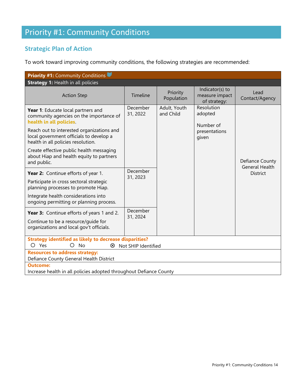# Priority #1: Community Conditions

# **Strategic Plan of Action**

To work toward improving community conditions, the following strategies are recommended:

| <b>Priority #1: Community Conditions</b>                                                                                   |                      |                           |                                                   |                        |                                          |
|----------------------------------------------------------------------------------------------------------------------------|----------------------|---------------------------|---------------------------------------------------|------------------------|------------------------------------------|
| <b>Strategy 1: Health in all policies</b>                                                                                  |                      |                           |                                                   |                        |                                          |
| <b>Action Step</b>                                                                                                         | Timeline             | Priority<br>Population    | Indicator(s) to<br>measure impact<br>of strategy: | Lead<br>Contact/Agency |                                          |
| Year 1: Educate local partners and<br>community agencies on the importance of<br>health in all policies.                   | December<br>31, 2022 | Adult, Youth<br>and Child | Resolution<br>adopted<br>Number of                |                        |                                          |
| Reach out to interested organizations and<br>local government officials to develop a<br>health in all policies resolution. |                      |                           | presentations<br>given                            |                        |                                          |
| Create effective public health messaging<br>about Hiap and health equity to partners<br>and public.                        |                      |                           |                                                   |                        | Defiance County<br><b>General Health</b> |
| Year 2: Continue efforts of year 1.                                                                                        | December<br>31, 2023 |                           |                                                   | <b>District</b>        |                                          |
| Participate in cross sectoral strategic<br>planning processes to promote Hiap.                                             |                      |                           |                                                   |                        |                                          |
| Integrate health considerations into<br>ongoing permitting or planning process.                                            |                      |                           |                                                   |                        |                                          |
| Year 3: Continue efforts of years 1 and 2.                                                                                 | December<br>31, 2024 |                           |                                                   |                        |                                          |
| Continue to be a resource/guide for<br>organizations and local gov't officials.                                            |                      |                           |                                                   |                        |                                          |
| <b>Strategy identified as likely to decrease disparities?</b><br>O<br>Yes<br><b>No</b><br>⊗<br>Not SHIP Identified         |                      |                           |                                                   |                        |                                          |
| <b>Resources to address strategy:</b><br>Defiance County General Health District                                           |                      |                           |                                                   |                        |                                          |
| Outcome:<br>Increase health in all policies adopted throughout Defiance County                                             |                      |                           |                                                   |                        |                                          |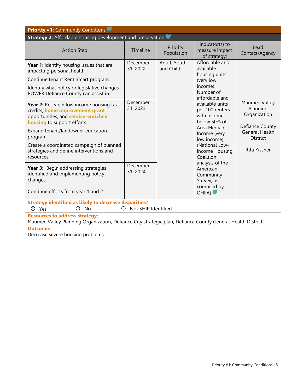| <b>Priority #1: Community Conditions</b>                                                                                                                                                                                                                                                                             |                      |                           |                                                                                                                                                                  |                                                                                                                          |  |  |
|----------------------------------------------------------------------------------------------------------------------------------------------------------------------------------------------------------------------------------------------------------------------------------------------------------------------|----------------------|---------------------------|------------------------------------------------------------------------------------------------------------------------------------------------------------------|--------------------------------------------------------------------------------------------------------------------------|--|--|
| <b>Strategy 2:</b> Affordable housing development and preservation                                                                                                                                                                                                                                                   |                      |                           |                                                                                                                                                                  |                                                                                                                          |  |  |
| <b>Action Step</b>                                                                                                                                                                                                                                                                                                   | Timeline             | Priority<br>Population    | Indicator(s) to<br>measure impact<br>of strategy:                                                                                                                | Lead<br>Contact/Agency                                                                                                   |  |  |
| Year 1: Identify housing issues that are<br>impacting personal health.                                                                                                                                                                                                                                               | December<br>31, 2022 | Adult, Youth<br>and Child | Affordable and<br>available<br>housing units                                                                                                                     |                                                                                                                          |  |  |
| Continue tenant Rent Smart program.                                                                                                                                                                                                                                                                                  |                      |                           | (very low                                                                                                                                                        |                                                                                                                          |  |  |
| Identify what policy or legislative changes<br>POWER Defiance County can assist in.                                                                                                                                                                                                                                  |                      |                           | income):<br>Number of<br>affordable and                                                                                                                          |                                                                                                                          |  |  |
| Year 2: Research low income housing tax<br>credits, home improvement grant<br>opportunities, and <b>service-enriched</b><br><b>housing</b> to support efforts.<br>Expand tenant/landowner education<br>program.<br>Create a coordinated campaign of planned<br>strategies and define interventions and<br>resources. | December<br>31, 2023 |                           | available units<br>per 100 renters<br>with income<br>below 50% of<br>Area Median<br>Income (very<br>low income)<br>(National Low-<br>Income Housing<br>Coalition | Maumee Valley<br>Planning<br>Organization<br>Defiance County<br><b>General Health</b><br><b>District</b><br>Rita Kissner |  |  |
| Year 3: Begin addressing strategies<br>identified and implementing policy<br>changes.<br>Continue efforts from year 1 and 2.                                                                                                                                                                                         | December<br>31, 2024 |                           | analysis of the<br>American<br>Community<br>Survey, as<br>compiled by<br>OHFA)                                                                                   |                                                                                                                          |  |  |
| <b>Strategy identified as likely to decrease disparities?</b><br>O Not SHIP Identified<br>⊗ Yes<br>O<br><b>No</b>                                                                                                                                                                                                    |                      |                           |                                                                                                                                                                  |                                                                                                                          |  |  |
| <b>Resources to address strategy:</b><br>Maumee Valley Planning Organization, Defiance City strategic plan, Defiance County General Health District                                                                                                                                                                  |                      |                           |                                                                                                                                                                  |                                                                                                                          |  |  |
| <b>Outcome:</b><br>Decrease severe housing problems                                                                                                                                                                                                                                                                  |                      |                           |                                                                                                                                                                  |                                                                                                                          |  |  |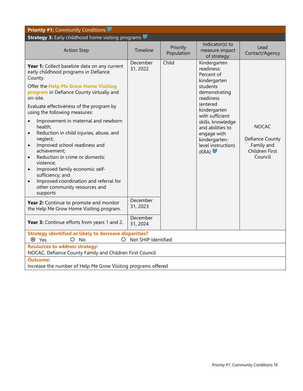| <b>Priority #1: Community Conditions</b>                                                                                                                                                                                                                                                                                                                                                                                                                                                                                                                                                                                                                                                            |                      |                        |                                                                                                                                                                                                                                                           |                                                                            |  |  |
|-----------------------------------------------------------------------------------------------------------------------------------------------------------------------------------------------------------------------------------------------------------------------------------------------------------------------------------------------------------------------------------------------------------------------------------------------------------------------------------------------------------------------------------------------------------------------------------------------------------------------------------------------------------------------------------------------------|----------------------|------------------------|-----------------------------------------------------------------------------------------------------------------------------------------------------------------------------------------------------------------------------------------------------------|----------------------------------------------------------------------------|--|--|
| <b>Strategy 3: Early childhood home visiting programs</b>                                                                                                                                                                                                                                                                                                                                                                                                                                                                                                                                                                                                                                           |                      |                        |                                                                                                                                                                                                                                                           |                                                                            |  |  |
| <b>Action Step</b>                                                                                                                                                                                                                                                                                                                                                                                                                                                                                                                                                                                                                                                                                  | Timeline             | Priority<br>Population | Indicator(s) to<br>measure impact<br>of strategy:                                                                                                                                                                                                         | Lead<br>Contact/Agency                                                     |  |  |
| Year 1: Collect baseline data on any current<br>early childhood programs in Defiance<br>County.<br>Offer the Help Me Grow Home Visiting<br>program in Defiance County virtually and<br>on-site.<br>Evaluate effectiveness of the program by<br>using the following measures:<br>Improvement in maternal and newborn<br>health;<br>Reduction in child injuries, abuse, and<br>$\bullet$<br>neglect;<br>Improved school readiness and<br>$\bullet$<br>achievement;<br>Reduction in crime or domestic<br>$\bullet$<br>violence;<br>Improved family economic self-<br>$\bullet$<br>sufficiency; and<br>Improved coordination and referral for<br>$\bullet$<br>other community resources and<br>supports | December<br>31, 2022 | Child                  | Kindergarten<br>readiness:<br>Percent of<br>kindergarten<br>students<br>demonstrating<br>readiness<br>(entered<br>kindergarten<br>with sufficient<br>skills, knowledge<br>and abilities to<br>engage with<br>kindergarten-<br>level instruction)<br>(KRA) | <b>NOCAC</b><br>Defiance County<br>Family and<br>Children First<br>Council |  |  |
| Year 2: Continue to promote and monitor<br>the Help Me Grow Home Visiting program.                                                                                                                                                                                                                                                                                                                                                                                                                                                                                                                                                                                                                  | December<br>31, 2023 |                        |                                                                                                                                                                                                                                                           |                                                                            |  |  |
| Year 3: Continue efforts from years 1 and 2.                                                                                                                                                                                                                                                                                                                                                                                                                                                                                                                                                                                                                                                        | December<br>31, 2024 |                        |                                                                                                                                                                                                                                                           |                                                                            |  |  |
| <b>Strategy identified as likely to decrease disparities?</b><br>Not SHIP Identified<br>$O$ No<br>$\circ$<br><sup>Ø</sup> Yes                                                                                                                                                                                                                                                                                                                                                                                                                                                                                                                                                                       |                      |                        |                                                                                                                                                                                                                                                           |                                                                            |  |  |
| <b>Resources to address strategy:</b><br>NOCAC, Defiance County Family and Children First Council                                                                                                                                                                                                                                                                                                                                                                                                                                                                                                                                                                                                   |                      |                        |                                                                                                                                                                                                                                                           |                                                                            |  |  |
| <b>Outcome:</b><br>Increase the number of Help Me Grow Visiting programs offered                                                                                                                                                                                                                                                                                                                                                                                                                                                                                                                                                                                                                    |                      |                        |                                                                                                                                                                                                                                                           |                                                                            |  |  |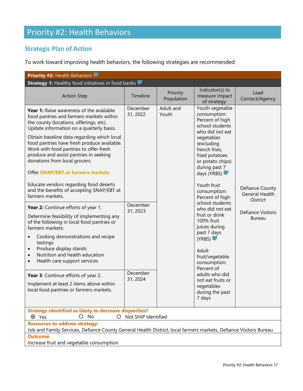# <span id="page-17-0"></span>Priority #2: Health Behaviors

# **Strategic Plan of Action**

To work toward improving health behaviors, the following strategies are recommended:

| <b>Priority #2: Health Behaviors</b>                                                                                                                                                                                                                                                                                                                                                                                                                                                                                                                                                                                                                                                                                                                                                                                                                                                                                                                                                                                        |                                                                      |                        |                                                                                                                                                                                                                                                                                                                                                                                                                                                                                                                 |                                                                                                   |  |  |  |  |  |  |
|-----------------------------------------------------------------------------------------------------------------------------------------------------------------------------------------------------------------------------------------------------------------------------------------------------------------------------------------------------------------------------------------------------------------------------------------------------------------------------------------------------------------------------------------------------------------------------------------------------------------------------------------------------------------------------------------------------------------------------------------------------------------------------------------------------------------------------------------------------------------------------------------------------------------------------------------------------------------------------------------------------------------------------|----------------------------------------------------------------------|------------------------|-----------------------------------------------------------------------------------------------------------------------------------------------------------------------------------------------------------------------------------------------------------------------------------------------------------------------------------------------------------------------------------------------------------------------------------------------------------------------------------------------------------------|---------------------------------------------------------------------------------------------------|--|--|--|--|--|--|
| <b>Strategy 1:</b> Healthy food initiatives in food banks                                                                                                                                                                                                                                                                                                                                                                                                                                                                                                                                                                                                                                                                                                                                                                                                                                                                                                                                                                   |                                                                      |                        |                                                                                                                                                                                                                                                                                                                                                                                                                                                                                                                 |                                                                                                   |  |  |  |  |  |  |
| <b>Action Step</b>                                                                                                                                                                                                                                                                                                                                                                                                                                                                                                                                                                                                                                                                                                                                                                                                                                                                                                                                                                                                          | Timeline                                                             | Priority<br>Population | Indicator(s) to<br>measure impact<br>of strategy:                                                                                                                                                                                                                                                                                                                                                                                                                                                               | Lead<br>Contact/Agency                                                                            |  |  |  |  |  |  |
| Year 1: Raise awareness of the available<br>food pantries and farmers markets within<br>the county (locations, offerings, etc).<br>Update information on a quarterly basis.<br>Obtain baseline data regarding which local<br>food pantries have fresh produce available.<br>Work with food pantries to offer fresh<br>produce and assist pantries in seeking<br>donations from local grocers.<br><b>Offer SNAP/EBT at farmers markets</b><br>Educate vendors regarding food deserts<br>and the benefits of accepting SNAP/EBT at<br>farmers markets.<br>Year 2: Continue efforts of year 1.<br>Determine feasibility of implementing any<br>of the following in local food pantries or<br>farmers markets:<br>Cooking demonstrations and recipe<br>tastings<br>Produce display stands<br>$\bullet$<br>Nutrition and health education<br>$\bullet$<br>Health care support services<br>$\bullet$<br>Year 3: Continue efforts of year 2.<br>Implement at least 2 items above within<br>local food pantries or farmers markets. | December<br>31, 2022<br>December<br>31, 2023<br>December<br>31, 2024 | Adult and<br>Youth     | Youth vegetable<br>consumption:<br>Percent of high<br>school students<br>who did not eat<br>vegetables<br>(excluding<br>french fries,<br>fried potatoes<br>or potato chips)<br>during past 7<br>days (YRBS)<br>Youth fruit<br>consumption:<br>Percent of high<br>school students<br>who did not eat<br>fruit or drink<br>100% fruit<br>juices during<br>past 7 days<br>(YRBS)<br>Adult<br>fruit/vegetable<br>consumption:<br>Percent of<br>adults who did<br>not eat fruits or<br>vegetables<br>during the past | Defiance County<br><b>General Health</b><br>District<br><b>Defiance Visitors</b><br><b>Bureau</b> |  |  |  |  |  |  |
| 7 days<br><b>Strategy identified as likely to decrease disparities?</b>                                                                                                                                                                                                                                                                                                                                                                                                                                                                                                                                                                                                                                                                                                                                                                                                                                                                                                                                                     |                                                                      |                        |                                                                                                                                                                                                                                                                                                                                                                                                                                                                                                                 |                                                                                                   |  |  |  |  |  |  |
| $O$ No<br>⊗ Yes<br>Not SHIP Identified<br>$\circ$                                                                                                                                                                                                                                                                                                                                                                                                                                                                                                                                                                                                                                                                                                                                                                                                                                                                                                                                                                           |                                                                      |                        |                                                                                                                                                                                                                                                                                                                                                                                                                                                                                                                 |                                                                                                   |  |  |  |  |  |  |
| <b>Resources to address strategy:</b><br>Job and Family Services, Defiance County General Health District, local farmers markets, Defiance Visitors Bureau                                                                                                                                                                                                                                                                                                                                                                                                                                                                                                                                                                                                                                                                                                                                                                                                                                                                  |                                                                      |                        |                                                                                                                                                                                                                                                                                                                                                                                                                                                                                                                 |                                                                                                   |  |  |  |  |  |  |
| <b>Outcome:</b>                                                                                                                                                                                                                                                                                                                                                                                                                                                                                                                                                                                                                                                                                                                                                                                                                                                                                                                                                                                                             |                                                                      |                        |                                                                                                                                                                                                                                                                                                                                                                                                                                                                                                                 |                                                                                                   |  |  |  |  |  |  |
| Increase fruit and vegetable consumption                                                                                                                                                                                                                                                                                                                                                                                                                                                                                                                                                                                                                                                                                                                                                                                                                                                                                                                                                                                    |                                                                      |                        |                                                                                                                                                                                                                                                                                                                                                                                                                                                                                                                 |                                                                                                   |  |  |  |  |  |  |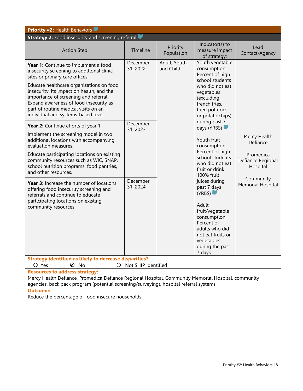| <b>Priority #2: Health Behaviors</b>                                                                                                                                                                                                                                                                                                                                                                                                                                                                  |                                              |                        |                                                                                                                                                                                                                                                                                                                                                                                                                                                                                              |                                                                                                          |  |  |
|-------------------------------------------------------------------------------------------------------------------------------------------------------------------------------------------------------------------------------------------------------------------------------------------------------------------------------------------------------------------------------------------------------------------------------------------------------------------------------------------------------|----------------------------------------------|------------------------|----------------------------------------------------------------------------------------------------------------------------------------------------------------------------------------------------------------------------------------------------------------------------------------------------------------------------------------------------------------------------------------------------------------------------------------------------------------------------------------------|----------------------------------------------------------------------------------------------------------|--|--|
| <b>Strategy 2: Food insecurity and screening referral</b>                                                                                                                                                                                                                                                                                                                                                                                                                                             |                                              |                        |                                                                                                                                                                                                                                                                                                                                                                                                                                                                                              |                                                                                                          |  |  |
| <b>Action Step</b>                                                                                                                                                                                                                                                                                                                                                                                                                                                                                    | Timeline                                     | Priority<br>Population | Indicator(s) to<br>measure impact<br>of strategy:                                                                                                                                                                                                                                                                                                                                                                                                                                            | Lead<br>Contact/Agency                                                                                   |  |  |
| Year 1: Continue to implement a food<br>insecurity screening to additional clinic<br>sites or primary care offices.<br>Educate healthcare organizations on food<br>insecurity, its impact on health, and the<br>importance of screening and referral.<br>Expand awareness of food insecurity as<br>part of routine medical visits on an<br>individual and systems-based level.                                                                                                                        | December<br>31, 2022<br>and Child            | Adult, Youth,          | consumption:<br>Percent of high<br>school students<br>who did not eat<br>vegetables<br>(excluding<br>french fries,<br>fried potatoes<br>or potato chips)<br>during past 7<br>days (YRBS)<br>Youth fruit<br>consumption:<br>Percent of high<br>school students<br>who did not eat<br>fruit or drink<br>100% fruit<br>juices during<br>past 7 days<br>(YRBS)<br>Adult<br>fruit/vegetable<br>consumption:<br>Percent of<br>adults who did<br>not eat fruits or<br>vegetables<br>during the past | Youth vegetable                                                                                          |  |  |
| Year 2: Continue efforts of year 1.<br>Implement the screening model in two<br>additional locations with accompanying<br>evaluation measures.<br>Educate participating locations on existing<br>community resources such as WIC, SNAP,<br>school nutrition programs, food pantries,<br>and other resources.<br>Year 3: Increase the number of locations<br>offering food insecurity screening and<br>referrals and continue to educate<br>participating locations on existing<br>community resources. | December<br>31, 2023<br>December<br>31, 2024 |                        |                                                                                                                                                                                                                                                                                                                                                                                                                                                                                              | Mercy Health<br>Defiance<br>Promedica<br>Defiance Regional<br>Hospital<br>Community<br>Memorial Hospital |  |  |
| <b>Strategy identified as likely to decrease disparities?</b><br>⊗ No<br>O Yes<br>Not SHIP Identified<br>$\circ$                                                                                                                                                                                                                                                                                                                                                                                      |                                              |                        |                                                                                                                                                                                                                                                                                                                                                                                                                                                                                              |                                                                                                          |  |  |
| <b>Resources to address strategy:</b><br>Mercy Health Defiance, Promedica Defiance Regional Hospital, Community Memorial Hospital, community<br>agencies, back pack program (potential screening/surveying), hospital referral systems                                                                                                                                                                                                                                                                |                                              |                        |                                                                                                                                                                                                                                                                                                                                                                                                                                                                                              |                                                                                                          |  |  |
| <b>Outcome:</b><br>Reduce the percentage of food insecure households                                                                                                                                                                                                                                                                                                                                                                                                                                  |                                              |                        |                                                                                                                                                                                                                                                                                                                                                                                                                                                                                              |                                                                                                          |  |  |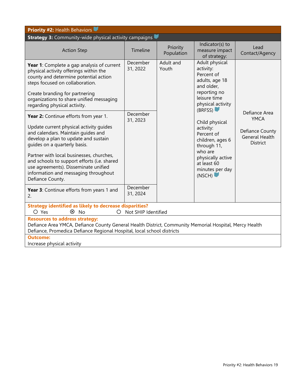| <b>Priority #2: Health Behaviors</b>                                                                                                                                                                                                                                                                                                                 |                                                                                                                                                                                  |                        |                                                                                                                                                          |                                                             |  |  |  |  |  |  |  |  |  |  |  |  |  |                              |
|------------------------------------------------------------------------------------------------------------------------------------------------------------------------------------------------------------------------------------------------------------------------------------------------------------------------------------------------------|----------------------------------------------------------------------------------------------------------------------------------------------------------------------------------|------------------------|----------------------------------------------------------------------------------------------------------------------------------------------------------|-------------------------------------------------------------|--|--|--|--|--|--|--|--|--|--|--|--|--|------------------------------|
| <b>Strategy 3:</b> Community-wide physical activity campaigns                                                                                                                                                                                                                                                                                        |                                                                                                                                                                                  |                        |                                                                                                                                                          |                                                             |  |  |  |  |  |  |  |  |  |  |  |  |  |                              |
| <b>Action Step</b>                                                                                                                                                                                                                                                                                                                                   | Timeline                                                                                                                                                                         | Priority<br>Population | Indicator(s) to<br>measure impact<br>of strategy:                                                                                                        | Lead<br>Contact/Agency                                      |  |  |  |  |  |  |  |  |  |  |  |  |  |                              |
| Year 1: Complete a gap analysis of current<br>physical activity offerings within the<br>county and determine potential action<br>steps focused on collaboration.                                                                                                                                                                                     | December<br>31, 2022                                                                                                                                                             | Adult and<br>Youth     | Adult physical<br>activity:<br>Percent of<br>adults, age 18<br>and older,                                                                                |                                                             |  |  |  |  |  |  |  |  |  |  |  |  |  |                              |
| Create branding for partnering<br>organizations to share unified messaging<br>regarding physical activity.                                                                                                                                                                                                                                           |                                                                                                                                                                                  |                        | reporting no<br>leisure time<br>physical activity<br>(BRFSS)                                                                                             |                                                             |  |  |  |  |  |  |  |  |  |  |  |  |  |                              |
| Year 2: Continue efforts from year 1.                                                                                                                                                                                                                                                                                                                | December<br>31, 2023                                                                                                                                                             |                        | Child physical<br>activity:<br>Percent of<br>children, ages 6<br>through 11,<br>who are<br>physically active<br>at least 60<br>minutes per day<br>(NSCH) |                                                             |  |  |  |  |  |  |  |  |  |  |  |  |  | Defiance Area<br><b>YMCA</b> |
| Update current physical activity guides<br>and calendars. Maintain guides and<br>develop a plan to update and sustain<br>quides on a quarterly basis.<br>Partner with local businesses, churches,<br>and schools to support efforts (i.e. shared<br>use agreements). Disseminate unified<br>information and messaging throughout<br>Defiance County. |                                                                                                                                                                                  |                        |                                                                                                                                                          | Defiance County<br><b>General Health</b><br><b>District</b> |  |  |  |  |  |  |  |  |  |  |  |  |  |                              |
| Year 3: Continue efforts from years 1 and<br>2.                                                                                                                                                                                                                                                                                                      | December<br>31, 2024                                                                                                                                                             |                        |                                                                                                                                                          |                                                             |  |  |  |  |  |  |  |  |  |  |  |  |  |                              |
| <b>Strategy identified as likely to decrease disparities?</b><br>$O$ Yes<br>$\otimes$ No<br>Not SHIP Identified<br>Ω                                                                                                                                                                                                                                 |                                                                                                                                                                                  |                        |                                                                                                                                                          |                                                             |  |  |  |  |  |  |  |  |  |  |  |  |  |                              |
| <b>Resources to address strategy:</b>                                                                                                                                                                                                                                                                                                                |                                                                                                                                                                                  |                        |                                                                                                                                                          |                                                             |  |  |  |  |  |  |  |  |  |  |  |  |  |                              |
|                                                                                                                                                                                                                                                                                                                                                      | Defiance Area YMCA, Defiance County General Health District, Community Memorial Hospital, Mercy Health<br>Defiance, Promedica Defiance Regional Hospital, local school districts |                        |                                                                                                                                                          |                                                             |  |  |  |  |  |  |  |  |  |  |  |  |  |                              |
| <b>Outcome:</b>                                                                                                                                                                                                                                                                                                                                      |                                                                                                                                                                                  |                        |                                                                                                                                                          |                                                             |  |  |  |  |  |  |  |  |  |  |  |  |  |                              |
| Increase physical activity                                                                                                                                                                                                                                                                                                                           |                                                                                                                                                                                  |                        |                                                                                                                                                          |                                                             |  |  |  |  |  |  |  |  |  |  |  |  |  |                              |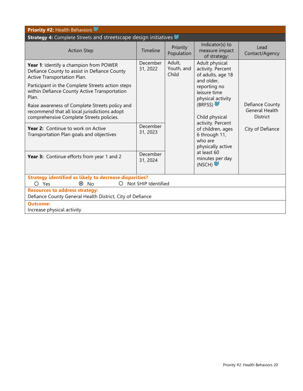| <b>Priority #2: Health Behaviors</b>                                                                                                       |                      |                               |                                                                                                                      |                                                             |  |
|--------------------------------------------------------------------------------------------------------------------------------------------|----------------------|-------------------------------|----------------------------------------------------------------------------------------------------------------------|-------------------------------------------------------------|--|
| <b>Strategy 4:</b> Complete Streets and streetscape design initiatives                                                                     |                      |                               |                                                                                                                      |                                                             |  |
| <b>Action Step</b>                                                                                                                         | Timeline             | Priority<br>Population        | Indicator(s) to<br>measure impact<br>of strategy:                                                                    | Lead<br>Contact/Agency                                      |  |
| Year 1: Identify a champion from POWER<br>Defiance County to assist in Defiance County<br>Active Transportation Plan.                      | December<br>31, 2022 | Adult,<br>Youth, and<br>Child | Adult physical<br>activity. Percent<br>of adults, age 18<br>and older,                                               |                                                             |  |
| Participant in the Complete Streets action steps<br>within Defiance County Active Transportation<br>Plan.                                  |                      |                               | reporting no<br>leisure time<br>physical activity                                                                    |                                                             |  |
| Raise awareness of Complete Streets policy and<br>recommend that all local jurisdictions adopt<br>comprehensive Complete Streets policies. |                      |                               | (BRFSS)<br>Child physical<br>activity. Percent<br>of children, ages<br>6 through 11,<br>who are<br>physically active | Defiance County<br><b>General Health</b><br><b>District</b> |  |
| Year 2: Continue to work on Active<br>Transportation Plan goals and objectives                                                             | December<br>31, 2023 |                               |                                                                                                                      | City of Defiance                                            |  |
| Year 3: Continue efforts from year 1 and 2                                                                                                 | December<br>31, 2024 |                               | at least 60<br>minutes per day<br>(NSCH)                                                                             |                                                             |  |
| <b>Strategy identified as likely to decrease disparities?</b><br>Not SHIP Identified<br>O Yes<br>⊗ No<br>$\Omega$                          |                      |                               |                                                                                                                      |                                                             |  |
| <b>Resources to address strategy:</b><br>Defiance County General Health District, City of Defiance                                         |                      |                               |                                                                                                                      |                                                             |  |
| <b>Outcome:</b><br>Increase physical activity                                                                                              |                      |                               |                                                                                                                      |                                                             |  |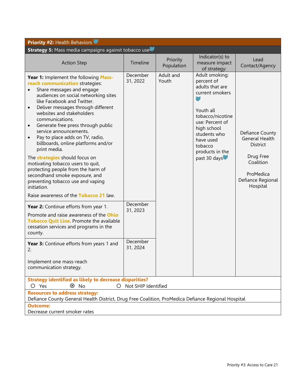| <b>Priority #2: Health Behaviors</b>                                                                                                                                                                                                                                                                                                                                                                                                                                                                                                                                                                                                                                                                                                |                                  |                        |                                                                                                                                                                                                                  |                                                                                                                                     |
|-------------------------------------------------------------------------------------------------------------------------------------------------------------------------------------------------------------------------------------------------------------------------------------------------------------------------------------------------------------------------------------------------------------------------------------------------------------------------------------------------------------------------------------------------------------------------------------------------------------------------------------------------------------------------------------------------------------------------------------|----------------------------------|------------------------|------------------------------------------------------------------------------------------------------------------------------------------------------------------------------------------------------------------|-------------------------------------------------------------------------------------------------------------------------------------|
| Strategy 5: Mass media campaigns against tobacco use                                                                                                                                                                                                                                                                                                                                                                                                                                                                                                                                                                                                                                                                                |                                  |                        |                                                                                                                                                                                                                  |                                                                                                                                     |
| <b>Action Step</b>                                                                                                                                                                                                                                                                                                                                                                                                                                                                                                                                                                                                                                                                                                                  | Timeline                         | Priority<br>Population | Indicator(s) to<br>measure impact<br>of strategy:                                                                                                                                                                | Lead<br>Contact/Agency                                                                                                              |
| Year 1: Implement the following Mass-<br>reach communication strategies:<br>Share messages and engage<br>$\bullet$<br>audiences on social networking sites<br>like Facebook and Twitter.<br>Deliver messages through different<br>$\bullet$<br>websites and stakeholders<br>communications.<br>Generate free press through public<br>$\bullet$<br>service announcements.<br>Pay to place adds on TV, radio,<br>$\bullet$<br>billboards, online platforms and/or<br>print media.<br>The <b>strategies</b> should focus on<br>motivating tobacco users to quit,<br>protecting people from the harm of<br>secondhand smoke exposure, and<br>preventing tobacco use and vaping<br>initiation.<br>Raise awareness of the Tobacco 21 law. | December<br>31, 2022             | Adult and<br>Youth     | Adult smoking:<br>percent of<br>adults that are<br>current smokers<br>Youth all<br>tobacco/nicotine<br>use: Percent of<br>high school<br>students who<br>have used<br>tobacco<br>products in the<br>past 30 days | Defiance County<br><b>General Health</b><br><b>District</b><br>Drug Free<br>Coalition<br>ProMedica<br>Defiance Regional<br>Hospital |
| Year 2: Continue efforts from year 1.<br>Promote and raise awareness of the Ohio<br>Tobacco Quit Line. Promote the available<br>cessation services and programs in the<br>county.                                                                                                                                                                                                                                                                                                                                                                                                                                                                                                                                                   | December<br>31, 2023<br>December |                        |                                                                                                                                                                                                                  |                                                                                                                                     |
| Year 3: Continue efforts from years 1 and<br>2.<br>Implement one mass-reach<br>communication strategy.                                                                                                                                                                                                                                                                                                                                                                                                                                                                                                                                                                                                                              | 31, 2024                         |                        |                                                                                                                                                                                                                  |                                                                                                                                     |
| <b>Strategy identified as likely to decrease disparities?</b><br>O Yes<br>⊗ No<br>Not SHIP Identified<br>$\circ$                                                                                                                                                                                                                                                                                                                                                                                                                                                                                                                                                                                                                    |                                  |                        |                                                                                                                                                                                                                  |                                                                                                                                     |
| <b>Resources to address strategy:</b><br>Defiance County General Health District, Drug Free Coalition, ProMedica Defiance Regional Hospital                                                                                                                                                                                                                                                                                                                                                                                                                                                                                                                                                                                         |                                  |                        |                                                                                                                                                                                                                  |                                                                                                                                     |
| <b>Outcome:</b><br>Decrease current smoker rates                                                                                                                                                                                                                                                                                                                                                                                                                                                                                                                                                                                                                                                                                    |                                  |                        |                                                                                                                                                                                                                  |                                                                                                                                     |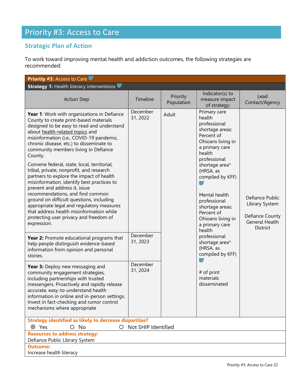# Priority #3: Access to Care

# **Strategic Plan of Action**

To work toward improving mental health and addiction outcomes, the following strategies are recommended:

| <b>Priority #3: Access to Care</b>                                                                                                                                                                                                                                                                                                                                                                                                                                                                                                                                                                                                                                                                                                                                        |                      |                        |                                                                 |                                                                                                                                                                                                                                                                                                                |                                                                                           |
|---------------------------------------------------------------------------------------------------------------------------------------------------------------------------------------------------------------------------------------------------------------------------------------------------------------------------------------------------------------------------------------------------------------------------------------------------------------------------------------------------------------------------------------------------------------------------------------------------------------------------------------------------------------------------------------------------------------------------------------------------------------------------|----------------------|------------------------|-----------------------------------------------------------------|----------------------------------------------------------------------------------------------------------------------------------------------------------------------------------------------------------------------------------------------------------------------------------------------------------------|-------------------------------------------------------------------------------------------|
| <b>Strategy 1: Health literacy interventions</b>                                                                                                                                                                                                                                                                                                                                                                                                                                                                                                                                                                                                                                                                                                                          |                      |                        |                                                                 |                                                                                                                                                                                                                                                                                                                |                                                                                           |
| <b>Action Step</b>                                                                                                                                                                                                                                                                                                                                                                                                                                                                                                                                                                                                                                                                                                                                                        | Timeline             | Priority<br>Population | Indicator(s) to<br>measure impact<br>of strategy:               | Lead<br>Contact/Agency                                                                                                                                                                                                                                                                                         |                                                                                           |
| Year 1: Work with organizations in Defiance<br>County to create print-based materials<br>designed to be easy to read and understand<br>about health-related topics and<br>misinformation (i.e., COVID-19 pandemic,<br>chronic disease, etc.) to disseminate to<br>community members living in Defiance<br>County.<br>Convene federal, state, local, territorial,<br>tribal, private, nonprofit, and research<br>partners to explore the impact of health<br>misinformation, identify best practices to<br>prevent and address it, issue<br>recommendations, and find common<br>ground on difficult questions, including<br>appropriate legal and regulatory measures<br>that address health misinformation while<br>protecting user privacy and freedom of<br>expression. | December<br>31, 2022 | Adult                  |                                                                 | Primary care<br>health<br>professional<br>shortage areas:<br>Percent of<br>Ohioans living in<br>a primary care<br>health<br>professional<br>shortage area*<br>(HRSA, as<br>compiled by KFF)<br>Mental health<br>professional<br>shortage areas:<br>Percent of<br>Ohioans living in<br>a primary care<br>health | Defiance Public<br>Library System<br>Defiance County<br><b>General Health</b><br>District |
| Year 2: Promote educational programs that<br>help people distinguish evidence-based<br>information from opinion and personal<br>stories.                                                                                                                                                                                                                                                                                                                                                                                                                                                                                                                                                                                                                                  | December<br>31, 2023 |                        | professional<br>shortage area*<br>(HRSA, as<br>compiled by KFF) |                                                                                                                                                                                                                                                                                                                |                                                                                           |
| Year 3: Deploy new messaging and<br>community engagement strategies,<br>including partnerships with trusted<br>messengers. Proactively and rapidly release<br>accurate, easy-to-understand health<br>information in online and in-person settings.<br>Invest in fact-checking and rumor control<br>mechanisms where appropriate                                                                                                                                                                                                                                                                                                                                                                                                                                           | December<br>31, 2024 |                        | $#$ of print<br>materials<br>disseminated                       |                                                                                                                                                                                                                                                                                                                |                                                                                           |
| <b>Strategy identified as likely to decrease disparities?</b>                                                                                                                                                                                                                                                                                                                                                                                                                                                                                                                                                                                                                                                                                                             |                      |                        |                                                                 |                                                                                                                                                                                                                                                                                                                |                                                                                           |
| ⊗ Yes<br>$O$ No<br>$\bigcirc$                                                                                                                                                                                                                                                                                                                                                                                                                                                                                                                                                                                                                                                                                                                                             | Not SHIP Identified  |                        |                                                                 |                                                                                                                                                                                                                                                                                                                |                                                                                           |
| <b>Resources to address strategy:</b><br>Defiance Public Library System<br><b>Outcome:</b>                                                                                                                                                                                                                                                                                                                                                                                                                                                                                                                                                                                                                                                                                |                      |                        |                                                                 |                                                                                                                                                                                                                                                                                                                |                                                                                           |
| Increase health literacy                                                                                                                                                                                                                                                                                                                                                                                                                                                                                                                                                                                                                                                                                                                                                  |                      |                        |                                                                 |                                                                                                                                                                                                                                                                                                                |                                                                                           |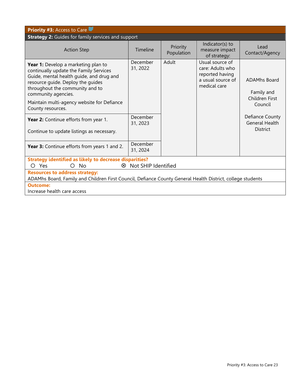| <b>Priority #3: Access to Care</b>                                                                                                                                                                                                                                                          |                      |                        |                                                                                             |                                                                |
|---------------------------------------------------------------------------------------------------------------------------------------------------------------------------------------------------------------------------------------------------------------------------------------------|----------------------|------------------------|---------------------------------------------------------------------------------------------|----------------------------------------------------------------|
| <b>Strategy 2:</b> Guides for family services and support                                                                                                                                                                                                                                   |                      |                        |                                                                                             |                                                                |
| <b>Action Step</b>                                                                                                                                                                                                                                                                          | Timeline             | Priority<br>Population | Indicator(s) to<br>measure impact<br>of strategy:                                           | Lead<br>Contact/Agency                                         |
| Year 1: Develop a marketing plan to<br>continually update the Family Services<br>Guide, mental health quide, and drug and<br>resource guide. Deploy the guides<br>throughout the community and to<br>community agencies.<br>Maintain multi-agency website for Defiance<br>County resources. | December<br>31, 2022 | Adult                  | Usual source of<br>care: Adults who<br>reported having<br>a usual source of<br>medical care | <b>ADAMhs Board</b><br>Family and<br>Children First<br>Council |
| Year 2: Continue efforts from year 1.<br>Continue to update listings as necessary.                                                                                                                                                                                                          | December<br>31, 2023 |                        |                                                                                             | Defiance County<br><b>General Health</b><br><b>District</b>    |
| Year 3: Continue efforts from years 1 and 2.                                                                                                                                                                                                                                                | December<br>31, 2024 |                        |                                                                                             |                                                                |
| <b>Strategy identified as likely to decrease disparities?</b>                                                                                                                                                                                                                               |                      |                        |                                                                                             |                                                                |
| 8 Not SHIP Identified<br>- Yes<br>Nο<br>$\bigcirc$<br>$\left($                                                                                                                                                                                                                              |                      |                        |                                                                                             |                                                                |
| <b>Resources to address strategy:</b><br>ADAMhs Board, Family and Children First Council, Defiance County General Health District, college students                                                                                                                                         |                      |                        |                                                                                             |                                                                |
| <b>Outcome:</b>                                                                                                                                                                                                                                                                             |                      |                        |                                                                                             |                                                                |
| Increase health care access                                                                                                                                                                                                                                                                 |                      |                        |                                                                                             |                                                                |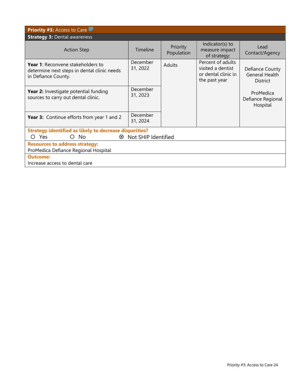| <b>Priority #3: Access to Care</b>                                                                             |                       |                        |                                                                                |                                                             |  |
|----------------------------------------------------------------------------------------------------------------|-----------------------|------------------------|--------------------------------------------------------------------------------|-------------------------------------------------------------|--|
| <b>Strategy 3: Dental awareness</b>                                                                            |                       |                        |                                                                                |                                                             |  |
| <b>Action Step</b>                                                                                             | <b>Timeline</b>       | Priority<br>Population | Indicator(s) to<br>measure impact<br>of strategy:                              | Lead<br>Contact/Agency                                      |  |
| <b>Year 1:</b> Reconvene stakeholders to<br>determine next steps in dental clinic needs<br>in Defiance County. | December<br>31, 2022  | Adults                 | Percent of adults<br>visited a dentist<br>or dental clinic in<br>the past year | Defiance County<br><b>General Health</b><br><b>District</b> |  |
| <b>Year 2:</b> Investigate potential funding<br>sources to carry out dental clinic.                            | December<br>31, 2023  |                        |                                                                                | ProMedica<br>Defiance Regional<br>Hospital                  |  |
| <b>Year 3:</b> Continue efforts from year 1 and 2                                                              | December<br>31, 2024  |                        |                                                                                |                                                             |  |
| <b>Strategy identified as likely to decrease disparities?</b>                                                  |                       |                        |                                                                                |                                                             |  |
| Yes<br>$\circ$ No<br>$\left(\right)$                                                                           | 8 Not SHIP Identified |                        |                                                                                |                                                             |  |
| <b>Resources to address strategy:</b><br>ProMedica Defiance Regional Hospital                                  |                       |                        |                                                                                |                                                             |  |
| Outcome:<br>Increase access to dental care                                                                     |                       |                        |                                                                                |                                                             |  |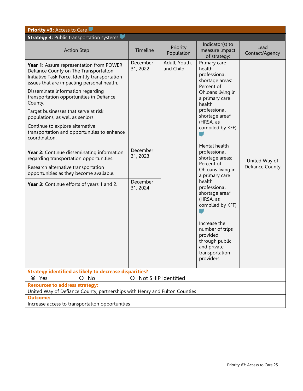| <b>Priority #3: Access to Care</b>                                                                                                                                                                                                                                                                                                                                                                                                                           |                                              |                            |                                                                                                                                                                                                                                                                                                   |                                  |
|--------------------------------------------------------------------------------------------------------------------------------------------------------------------------------------------------------------------------------------------------------------------------------------------------------------------------------------------------------------------------------------------------------------------------------------------------------------|----------------------------------------------|----------------------------|---------------------------------------------------------------------------------------------------------------------------------------------------------------------------------------------------------------------------------------------------------------------------------------------------|----------------------------------|
| <b>Strategy 4: Public transportation systems</b>                                                                                                                                                                                                                                                                                                                                                                                                             |                                              |                            |                                                                                                                                                                                                                                                                                                   |                                  |
| <b>Action Step</b>                                                                                                                                                                                                                                                                                                                                                                                                                                           | Timeline                                     | Priority<br>Population     | Indicator(s) to<br>measure impact<br>of strategy:                                                                                                                                                                                                                                                 | Lead<br>Contact/Agency           |
| Year 1: Assure representation from POWER<br>Defiance County on The Transportation<br>Initiative Task Force. Identify transportation<br>issues that are impacting personal health.<br>Disseminate information regarding<br>transportation opportunities in Defiance<br>County.<br>Target businesses that serve at risk<br>populations, as well as seniors.<br>Continue to explore alternative<br>transportation and opportunities to enhance<br>coordination. | December<br>31, 2022                         | Adult, Youth,<br>and Child | Primary care<br>health<br>professional<br>shortage areas:<br>Percent of<br>Ohioans living in<br>a primary care<br>health<br>professional<br>shortage area*<br>(HRSA, as<br>compiled by KFF)                                                                                                       |                                  |
| Year 2: Continue disseminating information<br>regarding transportation opportunities.<br>Research alternative transportation<br>opportunities as they become available.<br>Year 3: Continue efforts of years 1 and 2.                                                                                                                                                                                                                                        | December<br>31, 2023<br>December<br>31, 2024 |                            | Mental health<br>professional<br>shortage areas:<br>Percent of<br>Ohioans living in<br>a primary care<br>health<br>professional<br>shortage area*<br>(HRSA, as<br>compiled by KFF)<br>Increase the<br>number of trips<br>provided<br>through public<br>and private<br>transportation<br>providers | United Way of<br>Defiance County |
| <b>Strategy identified as likely to decrease disparities?</b>                                                                                                                                                                                                                                                                                                                                                                                                |                                              |                            |                                                                                                                                                                                                                                                                                                   |                                  |
| Not SHIP Identified<br>⊗ Yes<br>$O$ No<br>$\bigcirc$                                                                                                                                                                                                                                                                                                                                                                                                         |                                              |                            |                                                                                                                                                                                                                                                                                                   |                                  |
| <b>Resources to address strategy:</b><br>United Way of Defiance County, partnerships with Henry and Fulton Counties                                                                                                                                                                                                                                                                                                                                          |                                              |                            |                                                                                                                                                                                                                                                                                                   |                                  |
| <b>Outcome:</b><br>Increase access to transportation opportunities                                                                                                                                                                                                                                                                                                                                                                                           |                                              |                            |                                                                                                                                                                                                                                                                                                   |                                  |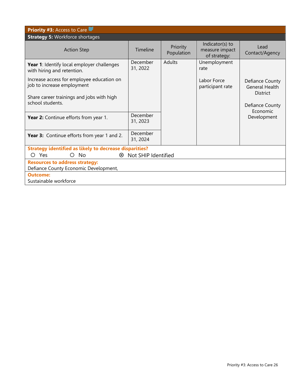| <b>Priority #3: Access to Care</b>                                             |                      |                        |                                                   |                                          |  |
|--------------------------------------------------------------------------------|----------------------|------------------------|---------------------------------------------------|------------------------------------------|--|
| <b>Strategy 5: Workforce shortages</b>                                         |                      |                        |                                                   |                                          |  |
| <b>Action Step</b>                                                             | Timeline             | Priority<br>Population | Indicator(s) to<br>measure impact<br>of strategy: | Lead<br>Contact/Agency                   |  |
| Year 1: Identify local employer challenges<br>with hiring and retention.       | December<br>31, 2022 | Adults                 | Unemployment<br>rate                              |                                          |  |
| Increase access for employee education on<br>job to increase employment        |                      |                        | Labor Force<br>participant rate                   | Defiance County<br><b>General Health</b> |  |
| Share career trainings and jobs with high<br>school students.                  |                      |                        |                                                   | <b>District</b><br>Defiance County       |  |
| Year 2: Continue efforts from year 1.                                          | December<br>31, 2023 |                        |                                                   | Economic<br>Development                  |  |
| Year 3: Continue efforts from year 1 and 2.                                    | December<br>31, 2024 |                        |                                                   |                                          |  |
| <b>Strategy identified as likely to decrease disparities?</b>                  |                      |                        |                                                   |                                          |  |
| $O$ No<br>Not SHIP Identified<br><b>Yes</b><br>$^{\circledR}$<br>Ω             |                      |                        |                                                   |                                          |  |
| <b>Resources to address strategy:</b><br>Defiance County Economic Development, |                      |                        |                                                   |                                          |  |
| <b>Outcome:</b><br>Sustainable workforce                                       |                      |                        |                                                   |                                          |  |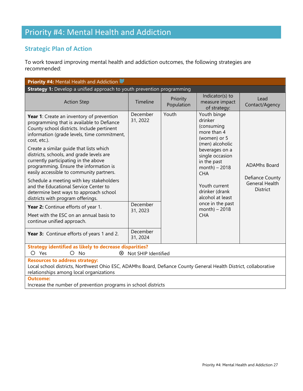# Priority #4: Mental Health and Addiction

# **Strategic Plan of Action**

To work toward improving mental health and addiction outcomes, the following strategies are recommended:

| <b>Priority #4: Mental Health and Addiction &amp;</b>                                                                                                                                                             |                      |                        |                                                                                        |                                                             |
|-------------------------------------------------------------------------------------------------------------------------------------------------------------------------------------------------------------------|----------------------|------------------------|----------------------------------------------------------------------------------------|-------------------------------------------------------------|
| <b>Strategy 1:</b> Develop a unified approach to youth prevention programming                                                                                                                                     |                      |                        |                                                                                        |                                                             |
| <b>Action Step</b>                                                                                                                                                                                                | Timeline             | Priority<br>Population | Indicator(s) to<br>measure impact<br>of strategy:                                      | Lead<br>Contact/Agency                                      |
| Year 1: Create an inventory of prevention<br>programming that is available to Defiance<br>County school districts. Include pertinent<br>information (grade levels, time commitment,<br>cost, etc.).               | December<br>31, 2022 | Youth                  | Youth binge<br>drinker<br>(consuming<br>more than 4<br>(women) or 5<br>(men) alcoholic |                                                             |
| Create a similar quide that lists which<br>districts, schools, and grade levels are<br>currently participating in the above<br>programming. Ensure the information is<br>easily accessible to community partners. |                      |                        | beverages on a<br>single occasion<br>in the past<br>$month) - 2018$<br><b>CHA</b>      | <b>ADAMhs Board</b>                                         |
| Schedule a meeting with key stakeholders<br>and the Educational Service Center to<br>determine best ways to approach school<br>districts with program offerings.                                                  |                      |                        | Youth current<br>drinker (drank<br>alcohol at least                                    | Defiance County<br><b>General Health</b><br><b>District</b> |
| Year 2: Continue efforts of year 1.<br>Meet with the ESC on an annual basis to<br>continue unified approach.                                                                                                      | December<br>31, 2023 |                        | once in the past<br>$month) - 2018$<br><b>CHA</b>                                      |                                                             |
| Year 3: Continue efforts of years 1 and 2.                                                                                                                                                                        | December<br>31, 2024 |                        |                                                                                        |                                                             |
| <b>Strategy identified as likely to decrease disparities?</b><br>$\circ$<br>Yes<br>$\circ$<br><b>No</b><br>Not SHIP Identified<br>⊗                                                                               |                      |                        |                                                                                        |                                                             |
| <b>Resources to address strategy:</b><br>Local school districts, Northwest Ohio ESC, ADAMhs Board, Defiance County General Health District, collaborative<br>relationships among local organizations              |                      |                        |                                                                                        |                                                             |
| <b>Outcome:</b><br>Increase the number of prevention programs in school districts                                                                                                                                 |                      |                        |                                                                                        |                                                             |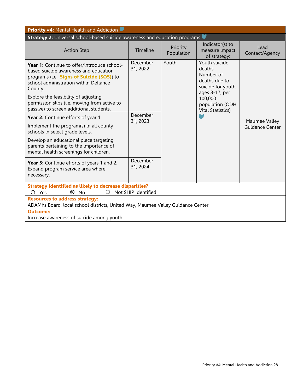| <b>Priority #4: Mental Health and Addiction W</b>                                                                                                                                      |                      |                        |                                                                                                |                        |               |
|----------------------------------------------------------------------------------------------------------------------------------------------------------------------------------------|----------------------|------------------------|------------------------------------------------------------------------------------------------|------------------------|---------------|
| Strategy 2: Universal school-based suicide awareness and education programs                                                                                                            |                      |                        |                                                                                                |                        |               |
| <b>Action Step</b>                                                                                                                                                                     | Timeline             | Priority<br>Population | Indicator(s) to<br>measure impact<br>of strategy:                                              | Lead<br>Contact/Agency |               |
| Year 1: Continue to offer/introduce school-<br>based suicide awareness and education<br>programs (i.e., Signs of Suicide (SOS)) to<br>school administration within Defiance<br>County. | December<br>31, 2022 | Youth                  | Youth suicide<br>deaths:<br>Number of<br>deaths due to<br>suicide for youth,<br>ages 8-17, per |                        |               |
| Explore the feasibility of adjusting<br>permission slips (i.e. moving from active to<br>passive) to screen additional students.                                                        |                      |                        | 100,000<br>population (ODH<br><b>Vital Statistics)</b>                                         |                        |               |
| <b>Year 2:</b> Continue efforts of year 1.                                                                                                                                             | December<br>31, 2023 |                        |                                                                                                |                        | Maumee Valley |
| Implement the program(s) in all county<br>schools in select grade levels.                                                                                                              |                      |                        |                                                                                                |                        |               |
| Develop an educational piece targeting<br>parents pertaining to the importance of<br>mental health screenings for children.                                                            |                      |                        |                                                                                                |                        |               |
| Year 3: Continue efforts of years 1 and 2.<br>Expand program service area where<br>necessary.                                                                                          | December<br>31, 2024 |                        |                                                                                                |                        |               |
| <b>Strategy identified as likely to decrease disparities?</b><br>Not SHIP Identified<br>⊗<br>O<br>$O$ Yes<br>No                                                                        |                      |                        |                                                                                                |                        |               |
| <b>Resources to address strategy:</b><br>ADAMhs Board, local school districts, United Way, Maumee Valley Guidance Center                                                               |                      |                        |                                                                                                |                        |               |
| <b>Outcome:</b><br>Increase awareness of suicide among youth                                                                                                                           |                      |                        |                                                                                                |                        |               |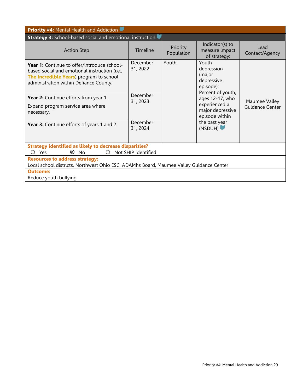| <b>Priority #4: Mental Health and Addiction</b>                                                                                                                                   |                      |                        |                                                                                                                                                                                                      |                        |  |
|-----------------------------------------------------------------------------------------------------------------------------------------------------------------------------------|----------------------|------------------------|------------------------------------------------------------------------------------------------------------------------------------------------------------------------------------------------------|------------------------|--|
| <b>Strategy 3:</b> School-based social and emotional instruction                                                                                                                  |                      |                        |                                                                                                                                                                                                      |                        |  |
| <b>Action Step</b>                                                                                                                                                                | Timeline             | Priority<br>Population | Indicator(s) to<br>measure impact<br>of strategy:                                                                                                                                                    | Lead<br>Contact/Agency |  |
| Year 1: Continue to offer/introduce school-<br>based social and emotional instruction (i.e.,<br>The Incredible Years) program to school<br>administration within Defiance County. | December<br>31, 2022 | Youth                  | Youth<br>depression<br>(major<br>depressive<br>episode):<br>Percent of youth,<br>ages 12-17, who<br>Maumee Valley<br>experienced a<br>major depressive<br>episode within<br>the past year<br>(NSDUH) |                        |  |
| Year 2: Continue efforts from year 1.                                                                                                                                             | December<br>31, 2023 |                        |                                                                                                                                                                                                      |                        |  |
| Expand program service area where<br>necessary.                                                                                                                                   |                      |                        |                                                                                                                                                                                                      | Guidance Center        |  |
| Year 3: Continue efforts of years 1 and 2.                                                                                                                                        | December<br>31, 2024 |                        |                                                                                                                                                                                                      |                        |  |
| <b>Strategy identified as likely to decrease disparities?</b><br>⊗<br>Not SHIP Identified<br>Yes<br>N <sub>o</sub><br>$\bigcirc$<br>O                                             |                      |                        |                                                                                                                                                                                                      |                        |  |
| <b>Resources to address strategy:</b><br>Local school districts, Northwest Ohio ESC, ADAMhs Board, Maumee Valley Guidance Center                                                  |                      |                        |                                                                                                                                                                                                      |                        |  |
| <b>Outcome:</b>                                                                                                                                                                   |                      |                        |                                                                                                                                                                                                      |                        |  |
| Reduce youth bullying                                                                                                                                                             |                      |                        |                                                                                                                                                                                                      |                        |  |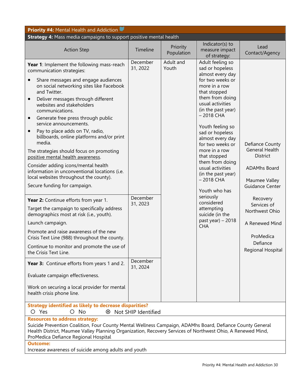| <b>Priority #4: Mental Health and Addiction</b>                                                                                                                                                                                                                                                                                                                                                                                                                                                                                                                                                                                                                                                                                                                                                                                                                                                                                                                                                                                                                                                                                                                                                                 |                                                                      |                        |                                                                                                                                                                                                                                                                                                                                                                                                                                                                                                       |                                                                                                                                                                                                                                     |
|-----------------------------------------------------------------------------------------------------------------------------------------------------------------------------------------------------------------------------------------------------------------------------------------------------------------------------------------------------------------------------------------------------------------------------------------------------------------------------------------------------------------------------------------------------------------------------------------------------------------------------------------------------------------------------------------------------------------------------------------------------------------------------------------------------------------------------------------------------------------------------------------------------------------------------------------------------------------------------------------------------------------------------------------------------------------------------------------------------------------------------------------------------------------------------------------------------------------|----------------------------------------------------------------------|------------------------|-------------------------------------------------------------------------------------------------------------------------------------------------------------------------------------------------------------------------------------------------------------------------------------------------------------------------------------------------------------------------------------------------------------------------------------------------------------------------------------------------------|-------------------------------------------------------------------------------------------------------------------------------------------------------------------------------------------------------------------------------------|
| Strategy 4: Mass media campaigns to support positive mental health                                                                                                                                                                                                                                                                                                                                                                                                                                                                                                                                                                                                                                                                                                                                                                                                                                                                                                                                                                                                                                                                                                                                              |                                                                      |                        |                                                                                                                                                                                                                                                                                                                                                                                                                                                                                                       |                                                                                                                                                                                                                                     |
| <b>Action Step</b>                                                                                                                                                                                                                                                                                                                                                                                                                                                                                                                                                                                                                                                                                                                                                                                                                                                                                                                                                                                                                                                                                                                                                                                              | Timeline                                                             | Priority<br>Population | Indicator(s) to<br>measure impact<br>of strategy:                                                                                                                                                                                                                                                                                                                                                                                                                                                     | Lead<br>Contact/Agency                                                                                                                                                                                                              |
| Year 1: Implement the following mass-reach<br>communication strategies:<br>Share messages and engage audiences<br>on social networking sites like Facebook<br>and Twitter.<br>Deliver messages through different<br>$\bullet$<br>websites and stakeholders<br>communications.<br>Generate free press through public<br>$\bullet$<br>service announcements.<br>Pay to place adds on TV, radio,<br>$\bullet$<br>billboards, online platforms and/or print<br>media.<br>The strategies should focus on promoting<br>positive mental health awareness.<br>Consider adding icons/mental health<br>information in unconventional locations (i.e.<br>local websites throughout the county).<br>Secure funding for campaign.<br>Year 2: Continue efforts from year 1.<br>Target the campaign to specifically address<br>demographics most at risk (i.e., youth).<br>Launch campaign.<br>Promote and raise awareness of the new<br>Crisis Text Line (988) throughout the county.<br>Continue to monitor and promote the use of<br>the Crisis Text Line.<br>Year 3: Continue efforts from years 1 and 2.<br>Evaluate campaign effectiveness.<br>Work on securing a local provider for mental<br>health crisis phone line. | December<br>31, 2022<br>December<br>31, 2023<br>December<br>31, 2024 | Adult and<br>Youth     | Adult feeling so<br>sad or hopeless<br>almost every day<br>for two weeks or<br>more in a row<br>that stopped<br>them from doing<br>usual activities<br>(in the past year)<br>$-2018$ CHA<br>Youth feeling so<br>sad or hopeless<br>almost every day<br>for two weeks or<br>more in a row<br>that stopped<br>them from doing<br>usual activities<br>(in the past year)<br>$-2018$ CHA<br>Youth who has<br>seriously<br>considered<br>attempting<br>suicide (in the<br>past year) $-2018$<br><b>CHA</b> | Defiance County<br><b>General Health</b><br><b>District</b><br><b>ADAMhs Board</b><br>Maumee Valley<br>Guidance Center<br>Recovery<br>Services of<br>Northwest Ohio<br>A Renewed Mind<br>ProMedica<br>Defiance<br>Regional Hospital |
| <b>Strategy identified as likely to decrease disparities?</b><br>O Yes<br>$O$ No<br>8 Not SHIP Identified                                                                                                                                                                                                                                                                                                                                                                                                                                                                                                                                                                                                                                                                                                                                                                                                                                                                                                                                                                                                                                                                                                       |                                                                      |                        |                                                                                                                                                                                                                                                                                                                                                                                                                                                                                                       |                                                                                                                                                                                                                                     |
| <b>Resources to address strategy:</b><br>Suicide Prevention Coalition, Four County Mental Wellness Campaign, ADAMhs Board, Defiance County General<br>Health District, Maumee Valley Planning Organization, Recovery Services of Northwest Ohio, A Renewed Mind,<br>ProMedica Defiance Regional Hospital<br><b>Outcome:</b>                                                                                                                                                                                                                                                                                                                                                                                                                                                                                                                                                                                                                                                                                                                                                                                                                                                                                     |                                                                      |                        |                                                                                                                                                                                                                                                                                                                                                                                                                                                                                                       |                                                                                                                                                                                                                                     |
| Increase awareness of suicide among adults and youth                                                                                                                                                                                                                                                                                                                                                                                                                                                                                                                                                                                                                                                                                                                                                                                                                                                                                                                                                                                                                                                                                                                                                            |                                                                      |                        |                                                                                                                                                                                                                                                                                                                                                                                                                                                                                                       |                                                                                                                                                                                                                                     |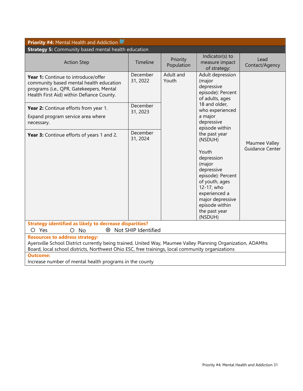| <b>Priority #4: Mental Health and Addiction</b>                                                                                                                                                                                                          |                                                                                                            |                        |                                                                                                                                                                                     |                        |
|----------------------------------------------------------------------------------------------------------------------------------------------------------------------------------------------------------------------------------------------------------|------------------------------------------------------------------------------------------------------------|------------------------|-------------------------------------------------------------------------------------------------------------------------------------------------------------------------------------|------------------------|
| <b>Strategy 5: Community based mental health education</b>                                                                                                                                                                                               |                                                                                                            |                        |                                                                                                                                                                                     |                        |
| <b>Action Step</b>                                                                                                                                                                                                                                       | Timeline                                                                                                   | Priority<br>Population | Indicator(s) to<br>measure impact<br>of strategy:                                                                                                                                   | Lead<br>Contact/Agency |
| Year 1: Continue to introduce/offer<br>community based mental health education<br>programs (i.e., QPR, Gatekeepers, Mental<br>Health First Aid) within Defiance County.                                                                                  | December<br>Adult and<br>Youth<br>31, 2022<br>(major<br>depressive<br>episode): Percent<br>of adults, ages | Adult depression       |                                                                                                                                                                                     |                        |
| Year 2: Continue efforts from year 1.<br>Expand program service area where<br>necessary.                                                                                                                                                                 | December<br>31, 2023                                                                                       |                        | 18 and older,<br>who experienced<br>a major<br>depressive<br>episode within<br>the past year<br>(NSDUH)                                                                             |                        |
| Year 3: Continue efforts of years 1 and 2.                                                                                                                                                                                                               | December<br>31, 2024                                                                                       |                        |                                                                                                                                                                                     | Maumee Valley          |
|                                                                                                                                                                                                                                                          |                                                                                                            |                        | Youth<br>depression<br>(major<br>depressive<br>episode): Percent<br>of youth, ages<br>12-17, who<br>experienced a<br>major depressive<br>episode within<br>the past year<br>(NSDUH) | <b>Guidance Center</b> |
| <b>Strategy identified as likely to decrease disparities?</b><br>8 Not SHIP Identified<br>O Yes<br>$O$ No                                                                                                                                                |                                                                                                            |                        |                                                                                                                                                                                     |                        |
| <b>Resources to address strategy:</b><br>Ayersville School District currently being trained, United Way, Maumee Valley Planning Organization, ADAMhs<br>Board, local school districts, Northwest Ohio ESC, free trainings, local community organizations |                                                                                                            |                        |                                                                                                                                                                                     |                        |
| <b>Outcome:</b><br>Increase number of mental health programs in the county                                                                                                                                                                               |                                                                                                            |                        |                                                                                                                                                                                     |                        |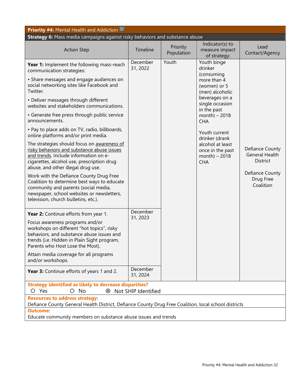| <b>Priority #4: Mental Health and Addiction</b>                                                                                                                                                                                                        |                      |                        |                                                                      |                                                      |  |
|--------------------------------------------------------------------------------------------------------------------------------------------------------------------------------------------------------------------------------------------------------|----------------------|------------------------|----------------------------------------------------------------------|------------------------------------------------------|--|
| Strategy 6: Mass media campaigns against risky behaviors and substance abuse                                                                                                                                                                           |                      |                        |                                                                      |                                                      |  |
| <b>Action Step</b>                                                                                                                                                                                                                                     | Timeline             | Priority<br>Population | Indicator(s) to<br>measure impact<br>of strategy:                    | Lead<br>Contact/Agency                               |  |
| Year 1: Implement the following mass-reach<br>communication strategies:                                                                                                                                                                                | December<br>31, 2022 | Youth                  | Youth binge<br>drinker<br>(consuming                                 |                                                      |  |
| • Share messages and engage audiences on<br>social networking sites like Facebook and<br>Twitter.                                                                                                                                                      |                      |                        | more than 4<br>(women) or 5<br>(men) alcoholic                       |                                                      |  |
| • Deliver messages through different<br>websites and stakeholders communications.                                                                                                                                                                      |                      |                        | beverages on a<br>single occasion<br>in the past                     |                                                      |  |
| • Generate free press through public service<br>announcements.                                                                                                                                                                                         |                      |                        | month) $-2018$<br><b>CHA</b>                                         |                                                      |  |
| • Pay to place adds on TV, radio, billboards,<br>online platforms and/or print media.                                                                                                                                                                  |                      |                        | Youth current<br>drinker (drank                                      |                                                      |  |
| The strategies should focus on awareness of<br>risky behaviors and substance abuse issues<br>and trends. Include information on e-<br>cigarettes, alcohol use, prescription drug<br>abuse, and other illegal drug use.                                 |                      |                        | alcohol at least<br>once in the past<br>month) $-2018$<br><b>CHA</b> | Defiance County<br><b>General Health</b><br>District |  |
| Work with the Defiance County Drug Free<br>Coalition to determine best ways to educate<br>community and parents (social media,<br>newspaper, school websites or newsletters,<br>television, church bulletins, etc.).                                   |                      |                        |                                                                      | Defiance County<br>Drug Free<br>Coalition            |  |
| Year 2: Continue efforts from year 1.<br>Focus awareness programs and/or<br>workshops on different "hot topics", risky<br>behaviors, and substance abuse issues and<br>trends (i.e. Hidden in Plain Sight program,<br>Parents who Host Lose the Most). | December<br>31, 2023 |                        |                                                                      |                                                      |  |
| Attain media coverage for all programs<br>and/or workshops.                                                                                                                                                                                            |                      |                        |                                                                      |                                                      |  |
| Year 3: Continue efforts of years 1 and 2.                                                                                                                                                                                                             | December<br>31, 2024 |                        |                                                                      |                                                      |  |
| <b>Strategy identified as likely to decrease disparities?</b>                                                                                                                                                                                          |                      |                        |                                                                      |                                                      |  |
| O Yes<br>No<br>8 Not SHIP Identified<br>Ω                                                                                                                                                                                                              |                      |                        |                                                                      |                                                      |  |
| <b>Resources to address strategy:</b><br>Defiance County General Health District, Defiance County Drug Free Coalition, local school districts                                                                                                          |                      |                        |                                                                      |                                                      |  |
| <b>Outcome:</b>                                                                                                                                                                                                                                        |                      |                        |                                                                      |                                                      |  |
| Educate community members on substance abuse issues and trends                                                                                                                                                                                         |                      |                        |                                                                      |                                                      |  |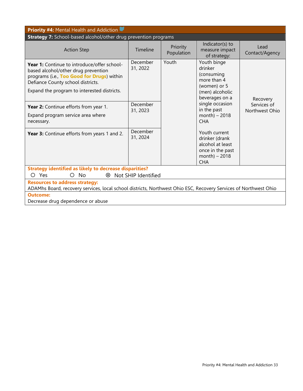| <b>Priority #4: Mental Health and Addiction</b>                                                                                                                                                                             |                      |                        |                                                                                                          |                               |
|-----------------------------------------------------------------------------------------------------------------------------------------------------------------------------------------------------------------------------|----------------------|------------------------|----------------------------------------------------------------------------------------------------------|-------------------------------|
| <b>Strategy 7:</b> School-based alcohol/other drug prevention programs                                                                                                                                                      |                      |                        |                                                                                                          |                               |
| <b>Action Step</b>                                                                                                                                                                                                          | Timeline             | Priority<br>Population | Indicator(s) to<br>measure impact<br>of strategy:                                                        | Lead<br>Contact/Agency        |
| <b>Year 1:</b> Continue to introduce/offer school-<br>based alcohol/other drug prevention<br>programs (i.e., Too Good for Drugs) within<br>Defiance County school districts.<br>Expand the program to interested districts. | December<br>31, 2022 | Youth                  | Youth binge<br>drinker<br>(consuming<br>more than 4<br>(women) or 5<br>(men) alcoholic<br>beverages on a | Recovery                      |
| Year 2: Continue efforts from year 1.<br>Expand program service area where<br>necessary.                                                                                                                                    | December<br>31, 2023 |                        | single occasion<br>in the past<br>$month) - 2018$<br><b>CHA</b>                                          | Services of<br>Northwest Ohio |
| Year 3: Continue efforts from years 1 and 2.                                                                                                                                                                                | December<br>31, 2024 |                        | Youth current<br>drinker (drank<br>alcohol at least<br>once in the past<br>$month) - 2018$<br><b>CHA</b> |                               |
| <b>Strategy identified as likely to decrease disparities?</b>                                                                                                                                                               |                      |                        |                                                                                                          |                               |
| Yes<br>Not SHIP Identified<br>∩<br>O No<br>⊗                                                                                                                                                                                |                      |                        |                                                                                                          |                               |
| <b>Resources to address strategy:</b><br>ADAMhs Board, recovery services, local school districts, Northwest Ohio ESC, Recovery Services of Northwest Ohio                                                                   |                      |                        |                                                                                                          |                               |
| <b>Outcome:</b><br>Decrease drug dependence or abuse                                                                                                                                                                        |                      |                        |                                                                                                          |                               |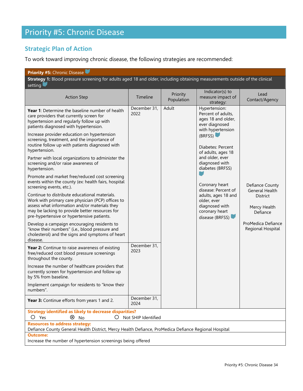# <span id="page-34-0"></span>Priority #5: Chronic Disease

# **Strategic Plan of Action**

To work toward improving chronic disease, the following strategies are recommended:

| <b>Priority #5:</b> Chronic Disease                                                                                                                                                                                                                                                                                                                                                                                                                                                                                                                                                                                                                                                                                                                                                                                                                                                                                                                                                                                                                                                                                                                                                                                                                                                                                                                                                                              |                                                                      |                        |                                                                                                                                                                                                                                                                                                                                                       |                                                                                                                             |
|------------------------------------------------------------------------------------------------------------------------------------------------------------------------------------------------------------------------------------------------------------------------------------------------------------------------------------------------------------------------------------------------------------------------------------------------------------------------------------------------------------------------------------------------------------------------------------------------------------------------------------------------------------------------------------------------------------------------------------------------------------------------------------------------------------------------------------------------------------------------------------------------------------------------------------------------------------------------------------------------------------------------------------------------------------------------------------------------------------------------------------------------------------------------------------------------------------------------------------------------------------------------------------------------------------------------------------------------------------------------------------------------------------------|----------------------------------------------------------------------|------------------------|-------------------------------------------------------------------------------------------------------------------------------------------------------------------------------------------------------------------------------------------------------------------------------------------------------------------------------------------------------|-----------------------------------------------------------------------------------------------------------------------------|
| Strategy 1: Blood pressure screening for adults aged 18 and older, including obtaining measurements outside of the clinical<br>setting                                                                                                                                                                                                                                                                                                                                                                                                                                                                                                                                                                                                                                                                                                                                                                                                                                                                                                                                                                                                                                                                                                                                                                                                                                                                           |                                                                      |                        |                                                                                                                                                                                                                                                                                                                                                       |                                                                                                                             |
| <b>Action Step</b>                                                                                                                                                                                                                                                                                                                                                                                                                                                                                                                                                                                                                                                                                                                                                                                                                                                                                                                                                                                                                                                                                                                                                                                                                                                                                                                                                                                               | Timeline                                                             | Priority<br>Population | Indicator(s) to<br>measure impact of<br>strategy:                                                                                                                                                                                                                                                                                                     | Lead<br>Contact/Agency                                                                                                      |
| <b>Year 1:</b> Determine the baseline number of health<br>care providers that currently screen for<br>hypertension and regularly follow up with<br>patients diagnosed with hypertension.<br>Increase provider education on hypertension<br>screening, treatment, and the importance of<br>routine follow up with patients diagnosed with<br>hypertension.<br>Partner with local organizations to administer the<br>screening and/or raise awareness of<br>hypertension.<br>Promote and market free/reduced cost screening<br>events within the county (ex: health fairs, hospital<br>screening events, etc.).<br>Continue to distribute educational materials.<br>Work with primary care physician (PCP) offices to<br>assess what information and/or materials they<br>may be lacking to provide better resources for<br>pre-hypertensive or hypertensive patients.<br>Develop a campaign encouraging residents to<br>"know their numbers" (i.e., blood pressure and<br>cholesterol) and the signs and symptoms of heart<br>disease.<br>Year 2: Continue to raise awareness of existing<br>free/reduced cost blood pressure screenings<br>throughout the county.<br>Increase the number of healthcare providers that<br>currently screen for hypertension and follow up<br>by 5% from baseline.<br>Implement campaign for residents to "know their<br>numbers".<br>Year 3: Continue efforts from years 1 and 2. | December 31,<br>2022<br>December 31,<br>2023<br>December 31,<br>2024 | Adult                  | Hypertension:<br>Percent of adults,<br>ages 18 and older,<br>ever diagnosed<br>with hypertension<br>(BRFSS)<br>Diabetes: Percent<br>of adults, ages 18<br>and older, ever<br>diagnosed with<br>diabetes (BRFSS)<br>Coronary heart<br>disease: Percent of<br>adults, ages 18 and<br>older, ever<br>diagnosed with<br>coronary heart<br>disease (BRFSS) | Defiance County<br>General Health<br><b>District</b><br>Mercy Health<br>Defiance<br>ProMedica Defiance<br>Regional Hospital |
| <b>Strategy identified as likely to decrease disparities?</b><br>$\left( \ \right)$                                                                                                                                                                                                                                                                                                                                                                                                                                                                                                                                                                                                                                                                                                                                                                                                                                                                                                                                                                                                                                                                                                                                                                                                                                                                                                                              |                                                                      |                        |                                                                                                                                                                                                                                                                                                                                                       |                                                                                                                             |
| Not SHIP Identified<br>⊗<br>$O$ Yes<br>No<br><b>Resources to address strategy:</b>                                                                                                                                                                                                                                                                                                                                                                                                                                                                                                                                                                                                                                                                                                                                                                                                                                                                                                                                                                                                                                                                                                                                                                                                                                                                                                                               |                                                                      |                        |                                                                                                                                                                                                                                                                                                                                                       |                                                                                                                             |
| Defiance County General Health District, Mercy Health Defiance, ProMedica Defiance Regional Hospital<br><b>Outcome:</b>                                                                                                                                                                                                                                                                                                                                                                                                                                                                                                                                                                                                                                                                                                                                                                                                                                                                                                                                                                                                                                                                                                                                                                                                                                                                                          |                                                                      |                        |                                                                                                                                                                                                                                                                                                                                                       |                                                                                                                             |
| Increase the number of hypertension screenings being offered                                                                                                                                                                                                                                                                                                                                                                                                                                                                                                                                                                                                                                                                                                                                                                                                                                                                                                                                                                                                                                                                                                                                                                                                                                                                                                                                                     |                                                                      |                        |                                                                                                                                                                                                                                                                                                                                                       |                                                                                                                             |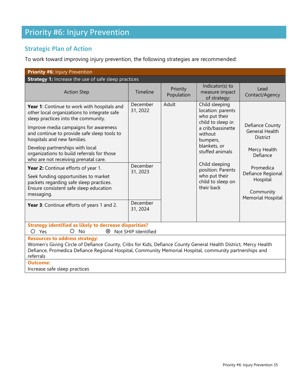# Priority #6: Injury Prevention

# **Strategic Plan of Action**

To work toward improving injury prevention, the following strategies are recommended:

| <b>Priority #6: Injury Prevention</b>                                                                                                                                                                                                                                            |                      |                        |                                                                           |                                                                 |
|----------------------------------------------------------------------------------------------------------------------------------------------------------------------------------------------------------------------------------------------------------------------------------|----------------------|------------------------|---------------------------------------------------------------------------|-----------------------------------------------------------------|
| Strategy 1: Increase the use of safe sleep practices                                                                                                                                                                                                                             |                      |                        |                                                                           |                                                                 |
| <b>Action Step</b>                                                                                                                                                                                                                                                               | Timeline             | Priority<br>Population | Indicator(s) to<br>measure impact<br>of strategy:                         | Lead<br>Contact/Agency                                          |
| Year 1: Continue to work with hospitals and<br>other local organizations to integrate safe<br>sleep practices into the community.                                                                                                                                                | December<br>31, 2022 | Adult                  | Child sleeping<br>location: parents<br>who put their<br>child to sleep in |                                                                 |
| Improve media campaigns for awareness<br>and continue to provide safe sleep tools to<br>hospitals and new families.                                                                                                                                                              |                      |                        | a crib/bassinette<br>without<br>bumpers,                                  | Defiance County<br><b>General Health</b><br><b>District</b>     |
| Develop partnerships with local<br>organizations to build referrals for those<br>who are not receiving prenatal care.                                                                                                                                                            |                      |                        | blankets, or<br>stuffed animals                                           | Mercy Health<br>Defiance                                        |
| Year 2: Continue efforts of year 1.                                                                                                                                                                                                                                              | December             |                        | Child sleeping<br>position: Parents                                       | Promedica                                                       |
| Seek funding opportunities to market<br>packets regarding safe sleep practices.<br>Ensure consistent safe sleep education<br>messaging.                                                                                                                                          | 31, 2023             |                        | who put their<br>child to sleep on<br>their back                          | Defiance Regional<br>Hospital<br>Community<br>Memorial Hospital |
| Year 3: Continue efforts of years 1 and 2.                                                                                                                                                                                                                                       | December<br>31, 2024 |                        |                                                                           |                                                                 |
| <b>Strategy identified as likely to decrease disparities?</b><br>O<br><b>No</b><br>O Yes<br>⊗<br>Not SHIP Identified                                                                                                                                                             |                      |                        |                                                                           |                                                                 |
| <b>Resources to address strategy:</b><br>Women's Giving Circle of Defiance County, Cribs for Kids, Defiance County General Health District, Mercy Health<br>Defiance, Promedica Defiance Regional Hospital, Community Memorial Hospital, community partnerships and<br>referrals |                      |                        |                                                                           |                                                                 |
| <b>Outcome:</b><br>Increase safe sleep practices                                                                                                                                                                                                                                 |                      |                        |                                                                           |                                                                 |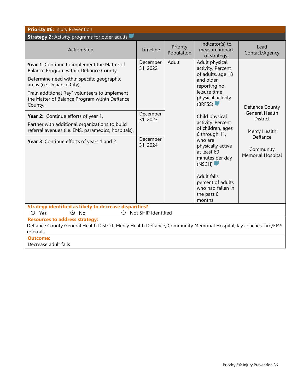| <b>Priority #6: Injury Prevention</b>                                                                                                                                                                                                                                                                                                                                                                                                                                          |                                                                      |                        |                                                                                                                                                                                                                                                                                                                                                                                   |                                                                                                                                  |
|--------------------------------------------------------------------------------------------------------------------------------------------------------------------------------------------------------------------------------------------------------------------------------------------------------------------------------------------------------------------------------------------------------------------------------------------------------------------------------|----------------------------------------------------------------------|------------------------|-----------------------------------------------------------------------------------------------------------------------------------------------------------------------------------------------------------------------------------------------------------------------------------------------------------------------------------------------------------------------------------|----------------------------------------------------------------------------------------------------------------------------------|
| <b>Strategy 2:</b> Activity programs for older adults                                                                                                                                                                                                                                                                                                                                                                                                                          |                                                                      |                        |                                                                                                                                                                                                                                                                                                                                                                                   |                                                                                                                                  |
| <b>Action Step</b>                                                                                                                                                                                                                                                                                                                                                                                                                                                             | Timeline                                                             | Priority<br>Population | Indicator(s) to<br>measure impact<br>of strategy:                                                                                                                                                                                                                                                                                                                                 | Lead<br>Contact/Agency                                                                                                           |
| Year 1: Continue to implement the Matter of<br>Balance Program within Defiance County.<br>Determine need within specific geographic<br>areas (i.e. Defiance City).<br>Train additional "lay" volunteers to implement<br>the Matter of Balance Program within Defiance<br>County.<br>Year 2: Continue efforts of year 1.<br>Partner with additional organizations to build<br>referral avenues (i.e. EMS, paramedics, hospitals).<br>Year 3: Continue efforts of years 1 and 2. | December<br>31, 2022<br>December<br>31, 2023<br>December<br>31, 2024 | Adult                  | Adult physical<br>activity. Percent<br>of adults, age 18<br>and older,<br>reporting no<br>leisure time<br>physical activity<br>(BRFSS)<br>Child physical<br>activity. Percent<br>of children, ages<br>6 through 11,<br>who are<br>physically active<br>at least 60<br>minutes per day<br>(NSCH)<br>Adult falls:<br>percent of adults<br>who had fallen in<br>the past 6<br>months | Defiance County<br><b>General Health</b><br><b>District</b><br>Mercy Health<br>Defiance<br>Community<br><b>Memorial Hospital</b> |
| <b>Strategy identified as likely to decrease disparities?</b><br>O Not SHIP Identified<br>$\otimes$ No<br>$O$ Yes                                                                                                                                                                                                                                                                                                                                                              |                                                                      |                        |                                                                                                                                                                                                                                                                                                                                                                                   |                                                                                                                                  |
| <b>Resources to address strategy:</b>                                                                                                                                                                                                                                                                                                                                                                                                                                          |                                                                      |                        |                                                                                                                                                                                                                                                                                                                                                                                   |                                                                                                                                  |
| Defiance County General Health District, Mercy Health Defiance, Community Memorial Hospital, lay coaches, fire/EMS<br>referrals                                                                                                                                                                                                                                                                                                                                                |                                                                      |                        |                                                                                                                                                                                                                                                                                                                                                                                   |                                                                                                                                  |
| <b>Outcome:</b><br>Decrease adult falls                                                                                                                                                                                                                                                                                                                                                                                                                                        |                                                                      |                        |                                                                                                                                                                                                                                                                                                                                                                                   |                                                                                                                                  |
|                                                                                                                                                                                                                                                                                                                                                                                                                                                                                |                                                                      |                        |                                                                                                                                                                                                                                                                                                                                                                                   |                                                                                                                                  |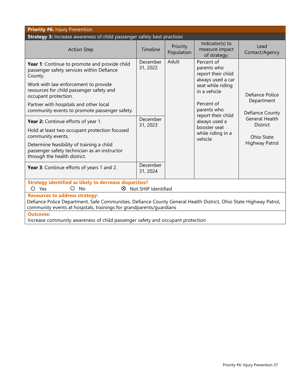| Priority #6: Injury Prevention                                                                                                                                                                                                    |                      |                        |                                                                      |                                          |
|-----------------------------------------------------------------------------------------------------------------------------------------------------------------------------------------------------------------------------------|----------------------|------------------------|----------------------------------------------------------------------|------------------------------------------|
| Strategy 3: Increase awareness of child passenger safety best practices                                                                                                                                                           |                      |                        |                                                                      |                                          |
| <b>Action Step</b>                                                                                                                                                                                                                | Timeline             | Priority<br>Population | Indicator(s) to<br>measure impact<br>of strategy:                    | Lead<br>Contact/Agency                   |
| Year 1: Continue to promote and provide child<br>passenger safety services within Defiance<br>County.                                                                                                                             | December<br>31, 2022 | Adult                  | Percent of<br>parents who<br>report their child<br>always used a car |                                          |
| Work with law enforcement to provide<br>resources for child passenger safety and<br>occupant protection.                                                                                                                          |                      |                        | seat while riding<br>in a vehicle                                    | Defiance Police<br>Department            |
| Partner with hospitals and other local<br>community events to promote passenger safety.                                                                                                                                           |                      |                        | Percent of<br>parents who<br>report their child                      | Defiance County                          |
| Year 2: Continue efforts of year 1.                                                                                                                                                                                               | December<br>31, 2023 |                        | always used a                                                        | <b>General Health</b><br><b>District</b> |
| Hold at least two occupant protection focused<br>community events.                                                                                                                                                                |                      |                        | booster seat<br>while riding in a<br>vehicle                         | Ohio State                               |
| Determine feasibility of training a child<br>passenger safety technician as an instructor<br>through the health district.                                                                                                         |                      |                        |                                                                      | Highway Patrol                           |
| Year 3: Continue efforts of years 1 and 2.                                                                                                                                                                                        | December<br>31, 2024 |                        |                                                                      |                                          |
| <b>Strategy identified as likely to decrease disparities?</b><br>$O$ Yes<br>$\bigcirc$<br>No<br>⊗                                                                                                                                 | Not SHIP Identified  |                        |                                                                      |                                          |
| <b>Resources to address strategy:</b><br>Defiance Police Department, Safe Communities, Defiance County General Health District, Ohio State Highway Patrol,<br>community events at hospitals, trainings for grandparents/guardians |                      |                        |                                                                      |                                          |
| <b>Outcome:</b>                                                                                                                                                                                                                   |                      |                        |                                                                      |                                          |
| Increase community awareness of child passenger safety and occupant protection                                                                                                                                                    |                      |                        |                                                                      |                                          |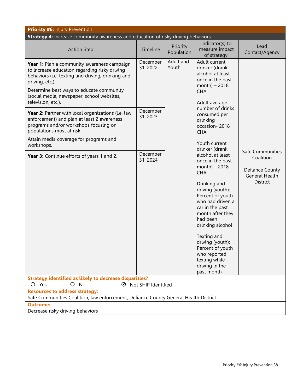| <b>Priority #6: Injury Prevention</b>                                                                                                                                                                                                                                                |                      |                                                                                                                                |                                                                                                                                                                                                                                                                                                                                                                   |                                                                                              |
|--------------------------------------------------------------------------------------------------------------------------------------------------------------------------------------------------------------------------------------------------------------------------------------|----------------------|--------------------------------------------------------------------------------------------------------------------------------|-------------------------------------------------------------------------------------------------------------------------------------------------------------------------------------------------------------------------------------------------------------------------------------------------------------------------------------------------------------------|----------------------------------------------------------------------------------------------|
| Strategy 4: Increase community awareness and education of risky driving behaviors                                                                                                                                                                                                    |                      |                                                                                                                                |                                                                                                                                                                                                                                                                                                                                                                   |                                                                                              |
| <b>Action Step</b>                                                                                                                                                                                                                                                                   | Timeline             | Priority<br>Population                                                                                                         | Indicator(s) to<br>measure impact<br>of strategy:                                                                                                                                                                                                                                                                                                                 | Lead<br>Contact/Agency                                                                       |
| Year 1: Plan a community awareness campaign<br>to increase education regarding risky driving<br>behaviors (i.e. texting and driving, drinking and<br>driving, etc.).<br>Determine best ways to educate community<br>(social media, newspaper, school websites,<br>television, etc.). | December<br>31, 2022 | Adult and<br>Youth<br>drinker (drank<br>alcohol at least<br>once in the past<br>$month) - 2018$<br><b>CHA</b><br>Adult average | Adult current                                                                                                                                                                                                                                                                                                                                                     |                                                                                              |
| Year 2: Partner with local organizations (i.e. law<br>enforcement) and plan at least 2 awareness<br>programs and/or workshops focusing on<br>populations most at risk.                                                                                                               | December<br>31, 2023 |                                                                                                                                | number of drinks<br>consumed per<br>drinking<br>occasion-2018<br><b>CHA</b>                                                                                                                                                                                                                                                                                       |                                                                                              |
| Attain media coverage for programs and<br>workshops.                                                                                                                                                                                                                                 |                      |                                                                                                                                | Youth current                                                                                                                                                                                                                                                                                                                                                     |                                                                                              |
| Year 3: Continue efforts of years 1 and 2.                                                                                                                                                                                                                                           | December<br>31, 2024 |                                                                                                                                | drinker (drank<br>alcohol at least<br>once in the past<br>month) $-2018$<br><b>CHA</b><br>Drinking and<br>driving (youth):<br>Percent of youth<br>who had driven a<br>car in the past<br>month after they<br>had been<br>drinking alcohol<br>Texting and<br>driving (youth):<br>Percent of youth<br>who reported<br>texting while<br>driving in the<br>past month | Safe Communities<br>Coalition<br>Defiance County<br><b>General Health</b><br><b>District</b> |
| <b>Strategy identified as likely to decrease disparities?</b><br>$O$ No<br>O Yes<br>8 Not SHIP Identified                                                                                                                                                                            |                      |                                                                                                                                |                                                                                                                                                                                                                                                                                                                                                                   |                                                                                              |
| <b>Resources to address strategy:</b><br>Safe Communities Coalition, law enforcement, Defiance County General Health District<br><b>Outcome:</b>                                                                                                                                     |                      |                                                                                                                                |                                                                                                                                                                                                                                                                                                                                                                   |                                                                                              |
| Decrease risky driving behaviors                                                                                                                                                                                                                                                     |                      |                                                                                                                                |                                                                                                                                                                                                                                                                                                                                                                   |                                                                                              |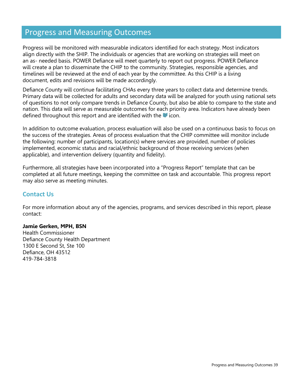# <span id="page-39-0"></span>Progress and Measuring Outcomes

Progress will be monitored with measurable indicators identified for each strategy. Most indicators align directly with the SHIP. The individuals or agencies that are working on strategies will meet on an as- needed basis. POWER Defiance will meet quarterly to report out progress. POWER Defiance will create a plan to disseminate the CHIP to the community. Strategies, responsible agencies, and timelines will be reviewed at the end of each year by the committee. As this CHIP is a living document, edits and revisions will be made accordingly.

Defiance County will continue facilitating CHAs every three years to collect data and determine trends. Primary data will be collected for adults and secondary data will be analyzed for youth using national sets of questions to not only compare trends in Defiance County, but also be able to compare to the state and nation. This data will serve as measurable outcomes for each priority area. Indicators have already been defined throughout this report and are identified with the icon.

In addition to outcome evaluation, process evaluation will also be used on a continuous basis to focus on the success of the strategies. Areas of process evaluation that the CHIP committee will monitor include the following: number of participants, location(s) where services are provided, number of policies implemented, economic status and racial/ethnic background of those receiving services (when applicable), and intervention delivery (quantity and fidelity).

Furthermore, all strategies have been incorporated into a "Progress Report" template that can be completed at all future meetings, keeping the committee on task and accountable. This progress report may also serve as meeting minutes.

#### **Contact Us**

For more information about any of the agencies, programs, and services described in this report, please contact:

#### **Jamie Gerken, MPH, BSN**

Health Commissioner Defiance County Health Department 1300 E Second St, Ste 100 Defiance, OH 43512 419-784-3818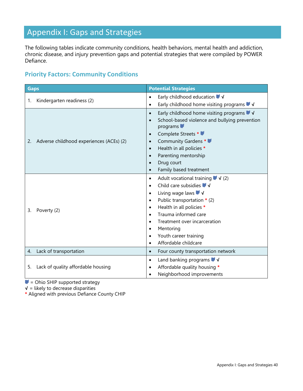# <span id="page-40-0"></span>Appendix I: Gaps and Strategies

The following tables indicate community conditions, health behaviors, mental health and addiction, chronic disease, and injury prevention gaps and potential strategies that were compiled by POWER Defiance.

# **Priority Factors: Community Conditions**

| <b>Gaps</b>                                    | <b>Potential Strategies</b>                                                                                                                                                                                                                                                                                                                                                                                                                                 |
|------------------------------------------------|-------------------------------------------------------------------------------------------------------------------------------------------------------------------------------------------------------------------------------------------------------------------------------------------------------------------------------------------------------------------------------------------------------------------------------------------------------------|
| Kindergarten readiness (2)<br>1.               | Early childhood education $\blacktriangledown$<br>$\bullet$                                                                                                                                                                                                                                                                                                                                                                                                 |
|                                                | Early childhood home visiting programs $\blacktriangledown$<br>$\bullet$                                                                                                                                                                                                                                                                                                                                                                                    |
| Adverse childhood experiences (ACEs) (2)<br>2. | Early childhood home visiting programs $\blacktriangledown$<br>$\bullet$<br>School-based violence and bullying prevention<br>$\bullet$<br>programs<br>Complete Streets *<br>$\bullet$<br>Community Gardens *<br>$\bullet$<br>Health in all policies *<br>$\bullet$<br>Parenting mentorship<br>$\bullet$<br>Drug court                                                                                                                                       |
|                                                | Family based treatment<br>$\bullet$                                                                                                                                                                                                                                                                                                                                                                                                                         |
| 3.<br>Poverty (2)                              | Adult vocational training $\blacktriangledown$ $\blacktriangleleft$ (2)<br>$\bullet$<br>Child care subsidies $\blacktriangledown$ $\blacktriangledown$<br>$\bullet$<br>Living wage laws ↓√<br>$\bullet$<br>Public transportation $*$ (2)<br>$\bullet$<br>Health in all policies *<br>$\bullet$<br>Trauma informed care<br>Treatment over incarceration<br>$\bullet$<br>Mentoring<br>$\bullet$<br>Youth career training<br>Affordable childcare<br>$\bullet$ |
| Lack of transportation<br>4.                   | Four county transportation network<br>$\bullet$                                                                                                                                                                                                                                                                                                                                                                                                             |
| Lack of quality affordable housing<br>5.       | Land banking programs $\blacktriangledown$ $\blacktriangledown$<br>$\bullet$<br>Affordable quality housing *<br>$\bullet$<br>Neighborhood improvements<br>$\bullet$                                                                                                                                                                                                                                                                                         |

 $\blacktriangleright$  = Ohio SHIP supported strategy

**√** = likely to decrease disparities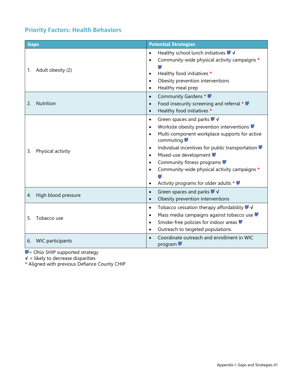# **Priority Factors: Health Behaviors**

| <b>Gaps</b>                   | <b>Potential Strategies</b>                                                                                                                                                                                                                                                                                                                                                                                                                                                                          |
|-------------------------------|------------------------------------------------------------------------------------------------------------------------------------------------------------------------------------------------------------------------------------------------------------------------------------------------------------------------------------------------------------------------------------------------------------------------------------------------------------------------------------------------------|
| Adult obesity (2)<br>1.       | Healthy school lunch initiatives $\blacktriangledown$<br>$\bullet$<br>Community-wide physical activity campaigns *<br>$\bullet$<br>Healthy food initiatives *<br>$\bullet$<br>Obesity prevention interventions<br>$\bullet$<br>Healthy meal prep<br>$\bullet$                                                                                                                                                                                                                                        |
| Nutrition<br>2.               | Community Gardens *<br>$\bullet$<br>Food insecurity screening and referral *<br>$\bullet$<br>Healthy food initiatives *<br>$\bullet$                                                                                                                                                                                                                                                                                                                                                                 |
| Physical activity<br>3.       | Green spaces and parks $\blacktriangledown$ $\blacktriangledown$<br>$\bullet$<br>Worksite obesity prevention interventions<br>$\bullet$<br>Multi-component workplace supports for active<br>$\bullet$<br>commuting $\blacksquare$<br>Individual incentives for public transportation<br>$\bullet$<br>Mixed-use development<br>$\bullet$<br>Community fitness programs<br>$\bullet$<br>Community-wide physical activity campaigns *<br>$\bullet$<br>Activity programs for older adults *<br>$\bullet$ |
| High blood pressure<br>4.     | Green spaces and parks $\blacktriangledown$ $\blacktriangleleft$<br>$\bullet$<br>Obesity prevention interventions<br>$\bullet$                                                                                                                                                                                                                                                                                                                                                                       |
| 5.<br>Tobacco use             | Tobacco cessation therapy affordability $\blacktriangledown$<br>$\bullet$<br>Mass media campaigns against tobacco use<br>$\bullet$<br>Smoke-free policies for indoor areas<br>$\bullet$<br>Outreach to targeted populations<br>$\bullet$                                                                                                                                                                                                                                                             |
| <b>WIC</b> participants<br>6. | Coordinate outreach and enrollment in WIC<br>$\bullet$<br>program                                                                                                                                                                                                                                                                                                                                                                                                                                    |

= Ohio SHIP supported strategy

**√** = likely to decrease disparities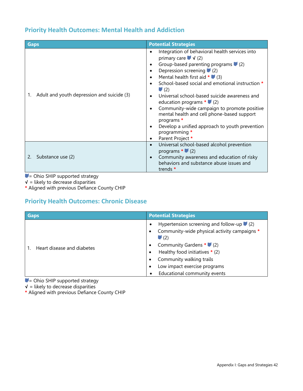## **Priority Health Outcomes: Mental Health and Addiction**

| <b>Gaps</b>                                      | <b>Potential Strategies</b>                                                                                                                                                                                                                                                                                                                                                                                                                                                                                                                                                         |
|--------------------------------------------------|-------------------------------------------------------------------------------------------------------------------------------------------------------------------------------------------------------------------------------------------------------------------------------------------------------------------------------------------------------------------------------------------------------------------------------------------------------------------------------------------------------------------------------------------------------------------------------------|
| Adult and youth depression and suicide (3)<br>1. | Integration of behavioral health services into<br>primary care $\blacktriangledown$ $\blacktriangleleft$ (2)<br>Group-based parenting programs $(2)$<br>Depression screening $(2)$<br>Mental health first aid $*$ (3)<br>School-based social and emotional instruction *<br>$\blacksquare$ (2)<br>Universal school-based suicide awareness and<br>education programs $*$ (2)<br>Community-wide campaign to promote positive<br>mental health and cell phone-based support<br>programs *<br>Develop a unified approach to youth prevention<br>programming *<br>Parent Project *<br>٠ |
| Substance use (2)                                | Universal school-based alcohol prevention<br>programs $*$ (2)<br>Community awareness and education of risky<br>behaviors and substance abuse issues and<br>trends *                                                                                                                                                                                                                                                                                                                                                                                                                 |

 $\blacktriangleright$  = Ohio SHIP supported strategy

**√** = likely to decrease disparities

**\*** Aligned with previous Defiance County CHIP

# **Priority Health Outcomes: Chronic Disease**

| <b>Gaps</b>                | <b>Potential Strategies</b>                                                                                                                 |
|----------------------------|---------------------------------------------------------------------------------------------------------------------------------------------|
| Heart disease and diabetes | Hypertension screening and follow-up $(2)$<br>Community-wide physical activity campaigns *<br>$\blacksquare$ (2)<br>Community Gardens * (2) |
|                            | Healthy food initiatives * (2)<br>Community walking trails<br>Low impact exercise programs                                                  |
|                            | Educational community events                                                                                                                |

 $\blacktriangleright$  = Ohio SHIP supported strategy

**√** = likely to decrease disparities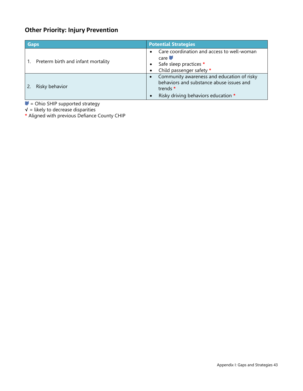# **Other Priority: Injury Prevention**

| <b>Gaps</b>                        | <b>Potential Strategies</b>                                                                                                               |
|------------------------------------|-------------------------------------------------------------------------------------------------------------------------------------------|
| Preterm birth and infant mortality | Care coordination and access to well-woman<br>$\bullet$<br>care<br>Safe sleep practices *<br>Child passenger safety *                     |
| Risky behavior                     | Community awareness and education of risky<br>behaviors and substance abuse issues and<br>trends *<br>Risky driving behaviors education * |

= Ohio SHIP supported strategy

**√** = likely to decrease disparities